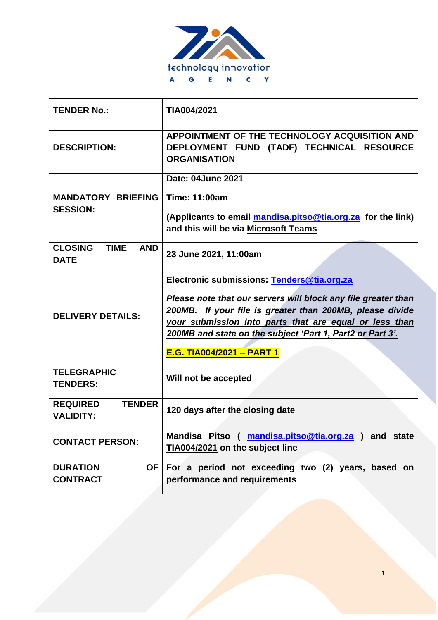

| <b>TENDER No.:</b>                                         | TIA004/2021                                                                                                                                                                                                                                                                                                                        |
|------------------------------------------------------------|------------------------------------------------------------------------------------------------------------------------------------------------------------------------------------------------------------------------------------------------------------------------------------------------------------------------------------|
| <b>DESCRIPTION:</b>                                        | APPOINTMENT OF THE TECHNOLOGY ACQUISITION AND<br>DEPLOYMENT FUND (TADF) TECHNICAL RESOURCE<br><b>ORGANISATION</b>                                                                                                                                                                                                                  |
| <b>MANDATORY BRIEFING</b><br><b>SESSION:</b>               | Date: 04June 2021<br><b>Time: 11:00am</b><br>(Applicants to email mandisa.pitso@tia.org.za for the link)<br>and this will be via Microsoft Teams                                                                                                                                                                                   |
| <b>CLOSING</b><br><b>TIME</b><br><b>AND</b><br><b>DATE</b> | 23 June 2021, 11:00am                                                                                                                                                                                                                                                                                                              |
| <b>DELIVERY DETAILS:</b>                                   | Electronic submissions: Tenders@tia.org.za<br>Please note that our servers will block any file greater than<br>200MB. If your file is greater than 200MB, please divide<br>your submission into parts that are equal or less than<br>200MB and state on the subject 'Part 1, Part2 or Part 3'.<br><b>E.G. TIA004/2021 - PART 1</b> |
| <b>TELEGRAPHIC</b><br><b>TENDERS:</b>                      | Will not be accepted                                                                                                                                                                                                                                                                                                               |
| <b>TENDER</b><br><b>REQUIRED</b><br><b>VALIDITY:</b>       | 120 days after the closing date                                                                                                                                                                                                                                                                                                    |
| <b>CONTACT PERSON:</b>                                     | Mandisa Pitso (mandisa.pitso@tia.org.za) and state<br>TIA004/2021 on the subject line                                                                                                                                                                                                                                              |
| <b>DURATION</b><br>OF<br><b>CONTRACT</b>                   | For a period not exceeding two (2) years, based on<br>performance and requirements                                                                                                                                                                                                                                                 |

1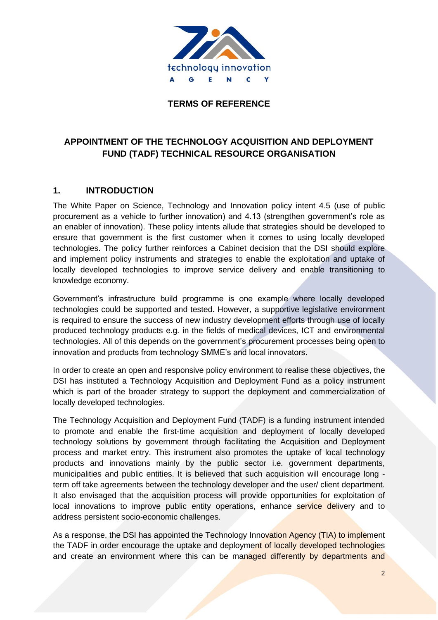

### **TERMS OF REFERENCE**

# **APPOINTMENT OF THE TECHNOLOGY ACQUISITION AND DEPLOYMENT FUND (TADF) TECHNICAL RESOURCE ORGANISATION**

### **1. INTRODUCTION**

The White Paper on Science, Technology and Innovation policy intent 4.5 (use of public procurement as a vehicle to further innovation) and 4.13 (strengthen government's role as an enabler of innovation). These policy intents allude that strategies should be developed to ensure that government is the first customer when it comes to using locally developed technologies. The policy further reinforces a Cabinet decision that the DSI should explore and implement policy instruments and strategies to enable the exploitation and uptake of locally developed technologies to improve service delivery and enable transitioning to knowledge economy.

Government's infrastructure build programme is one example where locally developed technologies could be supported and tested. However, a supportive legislative environment is required to ensure the success of new industry development efforts through use of locally produced technology products e.g. in the fields of medical devices, ICT and environmental technologies. All of this depends on the government's procurement processes being open to innovation and products from technology SMME's and local innovators.

In order to create an open and responsive policy environment to realise these objectives, the DSI has instituted a Technology Acquisition and Deployment Fund as a policy instrument which is part of the broader strategy to support the deployment and commercialization of locally developed technologies.

The Technology Acquisition and Deployment Fund (TADF) is a funding instrument intended to promote and enable the first-time acquisition and deployment of locally developed technology solutions by government through facilitating the Acquisition and Deployment process and market entry. This instrument also promotes the uptake of local technology products and innovations mainly by the public sector i.e. government departments, municipalities and public entities. It is believed that such acquisition will encourage long term off take agreements between the technology developer and the user/ client department. It also envisaged that the acquisition process will provide opportunities for exploitation of local innovations to improve public entity operations, enhance service delivery and to address persistent socio-economic challenges.

As a response, the DSI has appointed the Technology Innovation Agency (TIA) to implement the TADF in order encourage the uptake and deployment of locally developed technologies and create an environment where this can be managed differently by departments and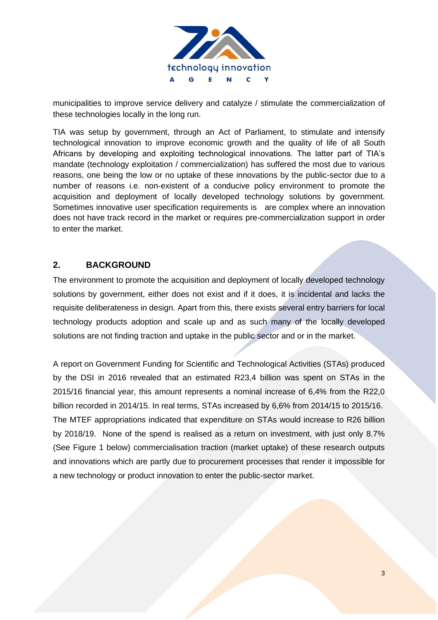

municipalities to improve service delivery and catalyze / stimulate the commercialization of these technologies locally in the long run.

TIA was setup by government, through an Act of Parliament, to stimulate and intensify technological innovation to improve economic growth and the quality of life of all South Africans by developing and exploiting technological innovations. The latter part of TIA's mandate (technology exploitation / commercialization) has suffered the most due to various reasons, one being the low or no uptake of these innovations by the public-sector due to a number of reasons i.e. non-existent of a conducive policy environment to promote the acquisition and deployment of locally developed technology solutions by government. Sometimes innovative user specification requirements is are complex where an innovation does not have track record in the market or requires pre-commercialization support in order to enter the market.

### **2. BACKGROUND**

The environment to promote the acquisition and deployment of locally developed technology solutions by government, either does not exist and if it does, it is incidental and lacks the requisite deliberateness in design. Apart from this, there exists several entry barriers for local technology products adoption and scale up and as such many of the locally developed solutions are not finding traction and uptake in the public sector and or in the market.

A report on Government Funding for Scientific and Technological Activities (STAs) produced by the DSI in 2016 revealed that an estimated R23,4 billion was spent on STAs in the 2015/16 financial year, this amount represents a nominal increase of 6,4% from the R22,0 billion recorded in 2014/15. In real terms, STAs increased by 6,6% from 2014/15 to 2015/16. The MTEF appropriations indicated that expenditure on STAs would increase to R26 billion by 2018/19. None of the spend is realised as a return on investment, with just only 8.7% (See Figure 1 below) commercialisation traction (market uptake) of these research outputs and innovations which are partly due to procurement processes that render it impossible for a new technology or product innovation to enter the public-sector market.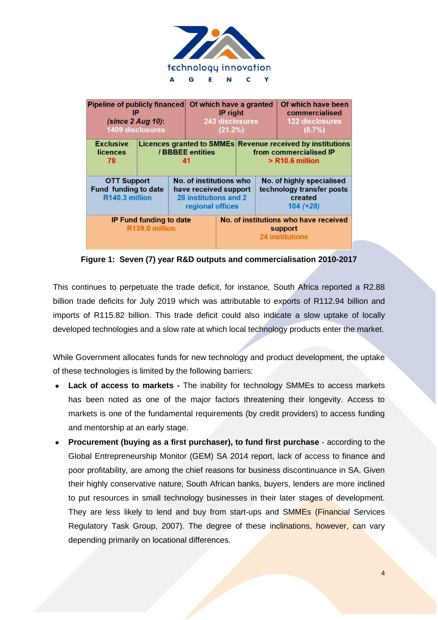

**Figure 1: Seven (7) year R&D outputs and commercialisation 2010-2017**

This continues to perpetuate the trade deficit, for instance, South Africa reported a R2.88 billion trade deficits for July 2019 which was attributable to exports of R112.94 billion and imports of R115.82 billion. This trade deficit could also indicate a slow uptake of locally developed technologies and a slow rate at which local technology products enter the market.

While Government allocates funds for new technology and product development, the uptake of these technologies is limited by the following barriers:

- **Lack of access to markets -** The inability for technology SMMEs to access markets has been noted as one of the major factors threatening their longevity. Access to markets is one of the fundamental requirements (by credit providers) to access funding and mentorship at an early stage.
- **Procurement (buying as a first purchaser), to fund first purchase** according to the Global Entrepreneurship Monitor (GEM) SA 2014 report, lack of access to finance and poor profitability, are among the chief reasons for business discontinuance in SA. Given their highly conservative nature, South African banks, buyers, lenders are more inclined to put resources in small technology businesses in their later stages of development. They are less likely to lend and buy from start-ups and SMMEs (Financial Services Regulatory Task Group, 2007). The degree of these inclinations, however, can vary depending primarily on locational differences.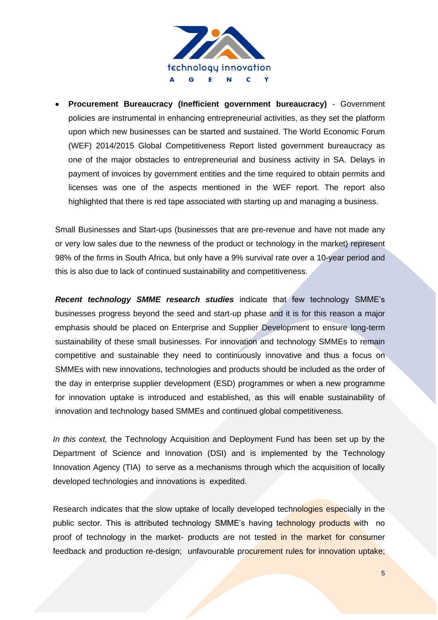

• **Procurement Bureaucracy (Inefficient government bureaucracy)** - Government policies are instrumental in enhancing entrepreneurial activities, as they set the platform upon which new businesses can be started and sustained. The World Economic Forum (WEF) 2014/2015 Global Competitiveness Report listed government bureaucracy as one of the major obstacles to entrepreneurial and business activity in SA. Delays in payment of invoices by government entities and the time required to obtain permits and licenses was one of the aspects mentioned in the WEF report. The report also highlighted that there is red tape associated with starting up and managing a business.

Small Businesses and Start-ups (businesses that are pre-revenue and have not made any or very low sales due to the newness of the product or technology in the market) represent 98% of the firms in South Africa, but only have a 9% survival rate over a 10-year period and this is also due to lack of continued sustainability and competitiveness.

*Recent technology SMME research studies* indicate that few technology SMME's businesses progress beyond the seed and start-up phase and it is for this reason a major emphasis should be placed on Enterprise and Supplier Development to ensure long-term sustainability of these small businesses. For innovation and technology SMMEs to remain competitive and sustainable they need to continuously innovative and thus a focus on SMMEs with new innovations, technologies and products should be included as the order of the day in enterprise supplier development (ESD) programmes or when a new programme for innovation uptake is introduced and established, as this will enable sustainability of innovation and technology based SMMEs and continued global competitiveness.

*In this context,* the Technology Acquisition and Deployment Fund has been set up by the Department of Science and Innovation (DSI) and is implemented by the Technology Innovation Agency (TIA) to serve as a mechanisms through which the acquisition of locally developed technologies and innovations is expedited.

Research indicates that the slow uptake of locally developed technologies especially in the public sector. This is attributed technology SMME's having technology products with no proof of technology in the market- products are not tested in the market for consumer feedback and production re-design; unfavourable procurement rules for innovation uptake;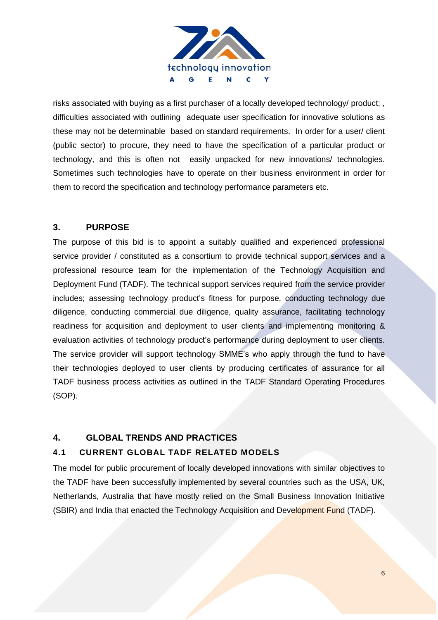

risks associated with buying as a first purchaser of a locally developed technology/ product; , difficulties associated with outlining adequate user specification for innovative solutions as these may not be determinable based on standard requirements. In order for a user/ client (public sector) to procure, they need to have the specification of a particular product or technology, and this is often not easily unpacked for new innovations/ technologies. Sometimes such technologies have to operate on their business environment in order for them to record the specification and technology performance parameters etc.

## **3. PURPOSE**

The purpose of this bid is to appoint a suitably qualified and experienced professional service provider / constituted as a consortium to provide technical support services and a professional resource team for the implementation of the Technology Acquisition and Deployment Fund (TADF). The technical support services required from the service provider includes; assessing technology product's fitness for purpose, conducting technology due diligence, conducting commercial due diligence, quality assurance, facilitating technology readiness for acquisition and deployment to user clients and implementing monitoring & evaluation activities of technology product's performance during deployment to user clients. The service provider will support technology SMME's who apply through the fund to have their technologies deployed to user clients by producing certificates of assurance for all TADF business process activities as outlined in the TADF Standard Operating Procedures (SOP).

# **4. GLOBAL TRENDS AND PRACTICES**

### **4.1 CURRENT GLOBAL TADF RELATED MODELS**

The model for public procurement of locally developed innovations with similar objectives to the TADF have been successfully implemented by several countries such as the USA, UK, Netherlands, Australia that have mostly relied on the Small Business Innovation Initiative (SBIR) and India that enacted the Technology Acquisition and Development Fund (TADF).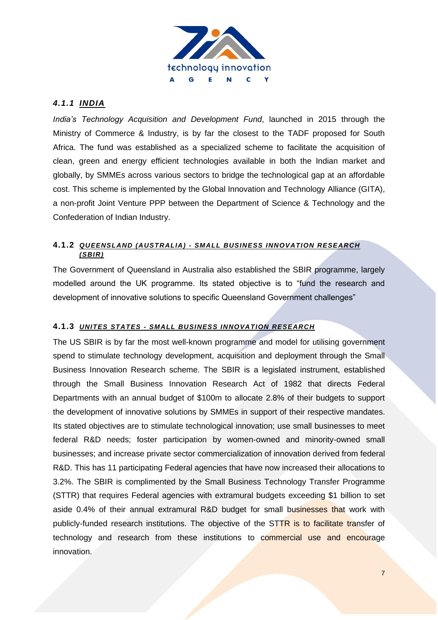

## *4.1.1 INDIA*

*India's Technology Acquisition and Development Fund*, launched in 2015 through the Ministry of Commerce & Industry, is by far the closest to the TADF proposed for South Africa. The fund was established as a specialized scheme to facilitate the acquisition of clean, green and energy efficient technologies available in both the Indian market and globally, by SMMEs across various sectors to bridge the technological gap at an affordable cost. This scheme is implemented by the Global Innovation and Technology Alliance (GITA), a non-profit Joint Venture PPP between the Department of Science & Technology and the Confederation of Indian Industry.

### **4.1.2** *QUEENSLAND (AUSTRALIA) - SMALL BUSINESS INNOVATION RESEARCH (SBIR)*

The Government of Queensland in Australia also established the SBIR programme, largely modelled around the UK programme. Its stated objective is to "fund the research and development of innovative solutions to specific Queensland Government challenges"

### **4.1.3** *UNITES STATES - SMALL BUSINESS INNOVATION RESEARCH*

The US SBIR is by far the most well-known programme and model for utilising government spend to stimulate technology development, acquisition and deployment through the Small Business Innovation Research scheme. The SBIR is a legislated instrument, established through the Small Business Innovation Research Act of 1982 that directs Federal Departments with an annual budget of \$100m to allocate 2.8% of their budgets to support the development of innovative solutions by SMMEs in support of their respective mandates. Its stated objectives are to stimulate technological innovation; use small businesses to meet federal R&D needs; foster participation by women-owned and minority-owned small businesses; and increase private sector commercialization of innovation derived from federal R&D. This has 11 participating Federal agencies that have now increased their allocations to 3.2%. The SBIR is complimented by the Small Business Technology Transfer Programme (STTR) that requires Federal agencies with extramural budgets exceeding \$1 billion to set aside 0.4% of their annual extramural R&D budget for small businesses that work with publicly-funded research institutions. The objective of the STTR is to facilitate transfer of technology and research from these institutions to commercial use and encourage innovation.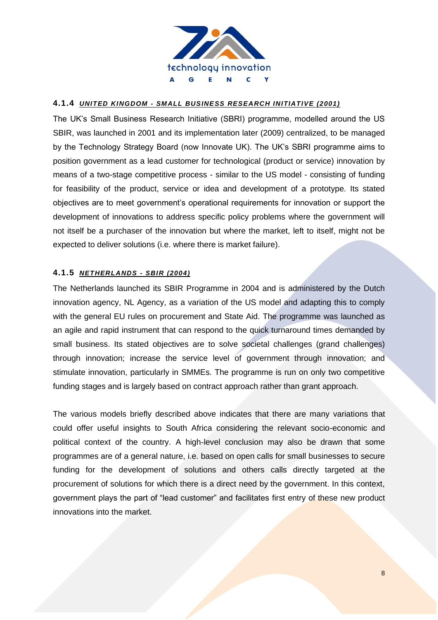

#### **4.1.4** *UNITED KINGDOM - SMALL BUSINESS RESEARCH INITIATIVE (2001)*

The UK's Small Business Research Initiative (SBRI) programme, modelled around the US SBIR, was launched in 2001 and its implementation later (2009) centralized, to be managed by the Technology Strategy Board (now Innovate UK). The UK's SBRI programme aims to position government as a lead customer for technological (product or service) innovation by means of a two-stage competitive process - similar to the US model - consisting of funding for feasibility of the product, service or idea and development of a prototype. Its stated objectives are to meet government's operational requirements for innovation or support the development of innovations to address specific policy problems where the government will not itself be a purchaser of the innovation but where the market, left to itself, might not be expected to deliver solutions (i.e. where there is market failure).

#### **4.1.5** *NETHERLANDS - SBIR (2004)*

The Netherlands launched its SBIR Programme in 2004 and is administered by the Dutch innovation agency, NL Agency, as a variation of the US model and adapting this to comply with the general EU rules on procurement and State Aid. The programme was launched as an agile and rapid instrument that can respond to the quick turnaround times demanded by small business. Its stated objectives are to solve societal challenges (grand challenges) through innovation; increase the service level of government through innovation; and stimulate innovation, particularly in SMMEs. The programme is run on only two competitive funding stages and is largely based on contract approach rather than grant approach.

The various models briefly described above indicates that there are many variations that could offer useful insights to South Africa considering the relevant socio-economic and political context of the country. A high-level conclusion may also be drawn that some programmes are of a general nature, i.e. based on open calls for small businesses to secure funding for the development of solutions and others calls directly targeted at the procurement of solutions for which there is a direct need by the government. In this context, government plays the part of "lead customer" and facilitates first entry of these new product innovations into the market.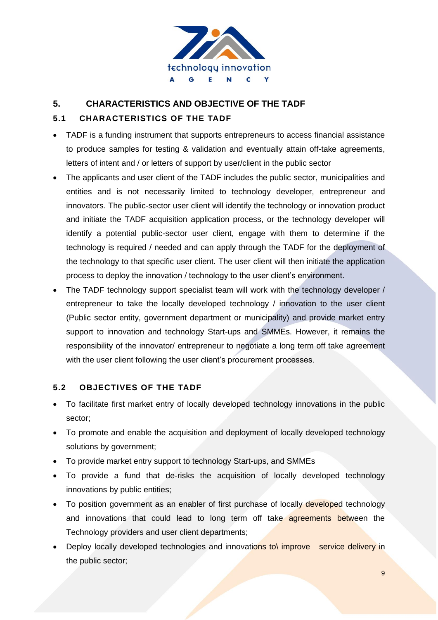

# **5. CHARACTERISTICS AND OBJECTIVE OF THE TADF**

## **5.1 CHARACTERISTICS OF THE TADF**

- TADF is a funding instrument that supports entrepreneurs to access financial assistance to produce samples for testing & validation and eventually attain off-take agreements, letters of intent and / or letters of support by user/client in the public sector
- The applicants and user client of the TADF includes the public sector, municipalities and entities and is not necessarily limited to technology developer, entrepreneur and innovators. The public-sector user client will identify the technology or innovation product and initiate the TADF acquisition application process, or the technology developer will identify a potential public-sector user client, engage with them to determine if the technology is required / needed and can apply through the TADF for the deployment of the technology to that specific user client. The user client will then initiate the application process to deploy the innovation / technology to the user client's environment.
- The TADF technology support specialist team will work with the technology developer / entrepreneur to take the locally developed technology / innovation to the user client (Public sector entity, government department or municipality) and provide market entry support to innovation and technology Start-ups and SMMEs. However, it remains the responsibility of the innovator/ entrepreneur to negotiate a long term off take agreement with the user client following the user client's procurement processes.

### **5.2 OBJECTIVES OF THE TADF**

- To facilitate first market entry of locally developed technology innovations in the public sector;
- To promote and enable the acquisition and deployment of locally developed technology solutions by government;
- To provide market entry support to technology Start-ups, and SMMEs
- To provide a fund that de-risks the acquisition of locally developed technology innovations by public entities;
- To position government as an enabler of first purchase of locally developed technology and innovations that could lead to long term off take agreements between the Technology providers and user client departments;
- Deploy locally developed technologies and innovations to improve service delivery in the public sector;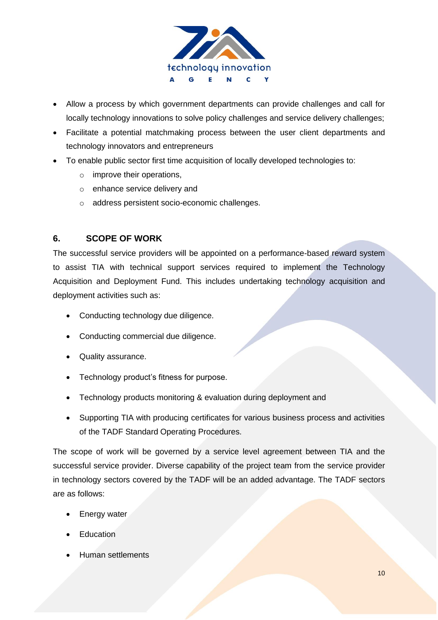

- Allow a process by which government departments can provide challenges and call for locally technology innovations to solve policy challenges and service delivery challenges;
- Facilitate a potential matchmaking process between the user client departments and technology innovators and entrepreneurs
- To enable public sector first time acquisition of locally developed technologies to:
	- o improve their operations,
	- o enhance service delivery and
	- o address persistent socio-economic challenges.

# **6. SCOPE OF WORK**

The successful service providers will be appointed on a performance-based reward system to assist TIA with technical support services required to implement the Technology Acquisition and Deployment Fund. This includes undertaking technology acquisition and deployment activities such as:

- Conducting technology due diligence.
- Conducting commercial due diligence.
- Quality assurance.
- Technology product's fitness for purpose.
- Technology products monitoring & evaluation during deployment and
- Supporting TIA with producing certificates for various business process and activities of the TADF Standard Operating Procedures.

The scope of work will be governed by a service level agreement between TIA and the successful service provider. Diverse capability of the project team from the service provider in technology sectors covered by the TADF will be an added advantage. The TADF sectors are as follows:

- Energy water
- **Education**
- Human settlements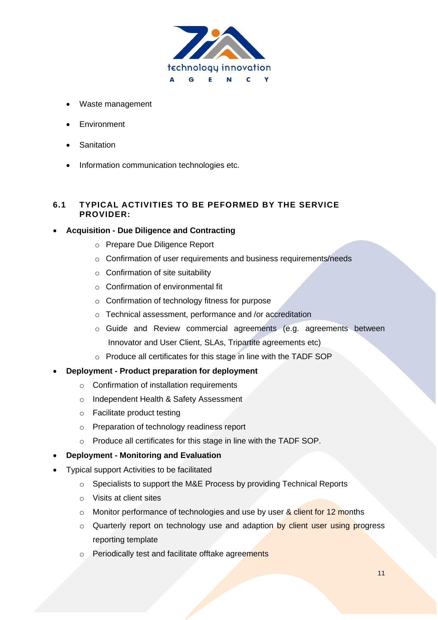

- Waste management
- Environment
- **Sanitation**
- Information communication technologies etc.

### **6.1 TYPICAL ACTIVITIES TO BE PEFORMED BY THE SERVICE PROVIDER:**

### • **Acquisition - Due Diligence and Contracting**

- o Prepare Due Diligence Report
- o Confirmation of user requirements and business requirements/needs
- $\circ$  Confirmation of site suitability
- o Confirmation of environmental fit
- o Confirmation of technology fitness for purpose
- o Technical assessment, performance and /or accreditation
- o Guide and Review commercial agreements (e.g. agreements between Innovator and User Client, SLAs, Tripartite agreements etc)
- o Produce all certificates for this stage in line with the TADF SOP
- **Deployment - Product preparation for deployment**
	- $\circ$  Confirmation of installation requirements
	- o Independent Health & Safety Assessment
	- o Facilitate product testing
	- o Preparation of technology readiness report
	- o Produce all certificates for this stage in line with the TADF SOP.
- **Deployment - Monitoring and Evaluation**
- Typical support Activities to be facilitated
	- o Specialists to support the M&E Process by providing Technical Reports
	- o Visits at client sites
	- o Monitor performance of technologies and use by user & client for 12 months
	- o Quarterly report on technology use and adaption by client user using progress reporting template
	- o Periodically test and facilitate offtake agreements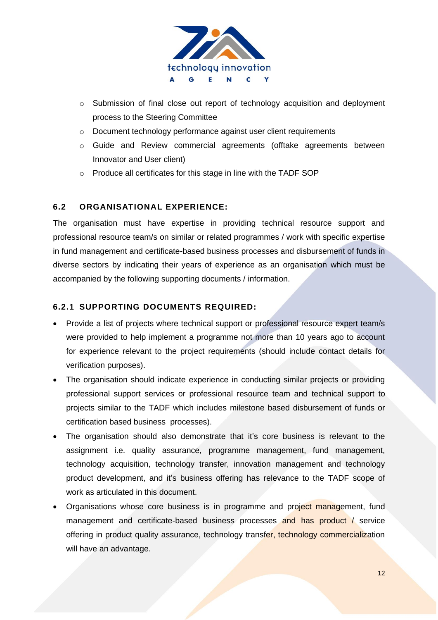

- o Submission of final close out report of technology acquisition and deployment process to the Steering Committee
- o Document technology performance against user client requirements
- o Guide and Review commercial agreements (offtake agreements between Innovator and User client)
- o Produce all certificates for this stage in line with the TADF SOP

### **6.2 ORGANISATIONAL EXPERIENCE:**

The organisation must have expertise in providing technical resource support and professional resource team/s on similar or related programmes / work with specific expertise in fund management and certificate-based business processes and disbursement of funds in diverse sectors by indicating their years of experience as an organisation which must be accompanied by the following supporting documents / information.

### **6.2.1 SUPPORTING DOCUMENTS REQUIRED:**

- Provide a list of projects where technical support or professional resource expert team/s were provided to help implement a programme not more than 10 years ago to account for experience relevant to the project requirements (should include contact details for verification purposes).
- The organisation should indicate experience in conducting similar projects or providing professional support services or professional resource team and technical support to projects similar to the TADF which includes milestone based disbursement of funds or certification based business processes).
- The organisation should also demonstrate that it's core business is relevant to the assignment i.e. quality assurance, programme management, fund management, technology acquisition, technology transfer, innovation management and technology product development, and it's business offering has relevance to the TADF scope of work as articulated in this document.
- Organisations whose core business is in programme and project management, fund management and certificate-based business processes and has product / service offering in product quality assurance, technology transfer, technology commercialization will have an advantage.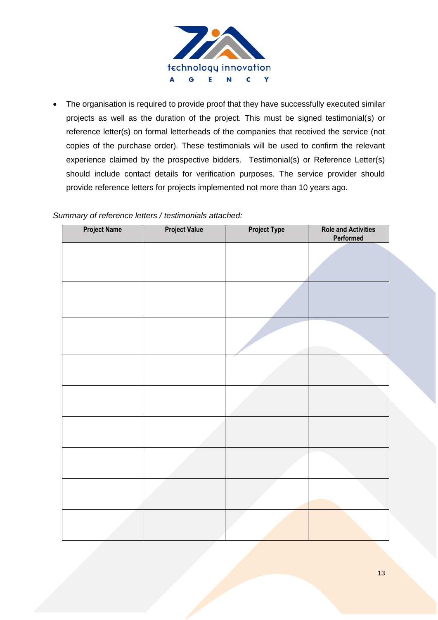

The organisation is required to provide proof that they have successfully executed similar projects as well as the duration of the project. This must be signed testimonial(s) or reference letter(s) on formal letterheads of the companies that received the service (not copies of the purchase order). These testimonials will be used to confirm the relevant experience claimed by the prospective bidders. Testimonial(s) or Reference Letter(s) should include contact details for verification purposes. The service provider should provide reference letters for projects implemented not more than 10 years ago.

|  | Summary of reference letters / testimonials attached: |  |  |  |
|--|-------------------------------------------------------|--|--|--|
|--|-------------------------------------------------------|--|--|--|

| <b>Project Name</b> | <b>Project Value</b> | <b>Project Type</b> | <b>Role and Activities</b><br>Performed |
|---------------------|----------------------|---------------------|-----------------------------------------|
|                     |                      |                     |                                         |
|                     |                      |                     |                                         |
|                     |                      |                     |                                         |
|                     |                      |                     |                                         |
|                     |                      |                     |                                         |
|                     |                      |                     |                                         |
|                     |                      |                     |                                         |
|                     |                      |                     |                                         |
|                     |                      |                     |                                         |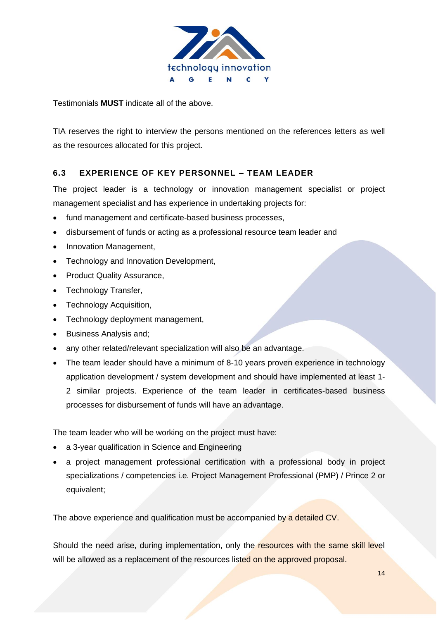

Testimonials **MUST** indicate all of the above.

TIA reserves the right to interview the persons mentioned on the references letters as well as the resources allocated for this project.

### **6.3 EXPERIENCE OF KEY PERSONNEL – TEAM LEADER**

The project leader is a technology or innovation management specialist or project management specialist and has experience in undertaking projects for:

- fund management and certificate-based business processes,
- disbursement of funds or acting as a professional resource team leader and
- Innovation Management,
- Technology and Innovation Development,
- Product Quality Assurance,
- Technology Transfer,
- Technology Acquisition,
- Technology deployment management,
- Business Analysis and;
- any other related/relevant specialization will also be an advantage.
- The team leader should have a minimum of 8-10 years proven experience in technology application development / system development and should have implemented at least 1- 2 similar projects. Experience of the team leader in certificates-based business processes for disbursement of funds will have an advantage.

The team leader who will be working on the project must have:

- a 3-year qualification in Science and Engineering
- a project management professional certification with a professional body in project specializations / competencies i.e. Project Management Professional (PMP) / Prince 2 or equivalent;

The above experience and qualification must be accompanied by a detailed CV.

Should the need arise, during implementation, only the resources with the same skill level will be allowed as a replacement of the resources listed on the approved proposal.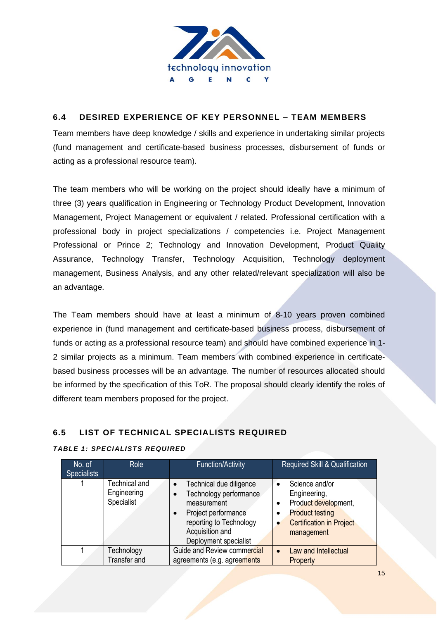

### **6.4 DESIRED EXPERIENCE OF KEY PERSONNEL – TEAM MEMBERS**

Team members have deep knowledge / skills and experience in undertaking similar projects (fund management and certificate-based business processes, disbursement of funds or acting as a professional resource team).

The team members who will be working on the project should ideally have a minimum of three (3) years qualification in Engineering or Technology Product Development, Innovation Management, Project Management or equivalent / related. Professional certification with a professional body in project specializations / competencies i.e. Project Management Professional or Prince 2; Technology and Innovation Development, Product Quality Assurance, Technology Transfer, Technology Acquisition, Technology deployment management, Business Analysis, and any other related/relevant specialization will also be an advantage.

The Team members should have at least a minimum of 8-10 years proven combined experience in (fund management and certificate-based business process, disbursement of funds or acting as a professional resource team) and should have combined experience in 1- 2 similar projects as a minimum. Team members with combined experience in certificatebased business processes will be an advantage. The number of resources allocated should be informed by the specification of this ToR. The proposal should clearly identify the roles of different team members proposed for the project.

### **6.5 LIST OF TECHNICAL SPECIALISTS REQUIRED**

### *TABLE 1: SPECIALISTS REQUIRED*

| No. of<br><b>Specialists</b> |  | <b>Role</b>                                | <b>Function/Activity</b>                                                                                                                                                                              | <b>Required Skill &amp; Qualification</b>                                                                                                                |  |  |  |
|------------------------------|--|--------------------------------------------|-------------------------------------------------------------------------------------------------------------------------------------------------------------------------------------------------------|----------------------------------------------------------------------------------------------------------------------------------------------------------|--|--|--|
|                              |  | Technical and<br>Engineering<br>Specialist | Technical due diligence<br>$\bullet$<br>Technology performance<br>$\bullet$<br>measurement<br>Project performance<br>$\bullet$<br>reporting to Technology<br>Acquisition and<br>Deployment specialist | Science and/or<br>Engineering,<br>Product development,<br>٠<br><b>Product testing</b><br>٠<br><b>Certification in Project</b><br>$\bullet$<br>management |  |  |  |
|                              |  | Technology<br>Transfer and                 | Guide and Review commercial<br>agreements (e.g. agreements                                                                                                                                            | Law and Intellectual<br>$\bullet$<br>Property                                                                                                            |  |  |  |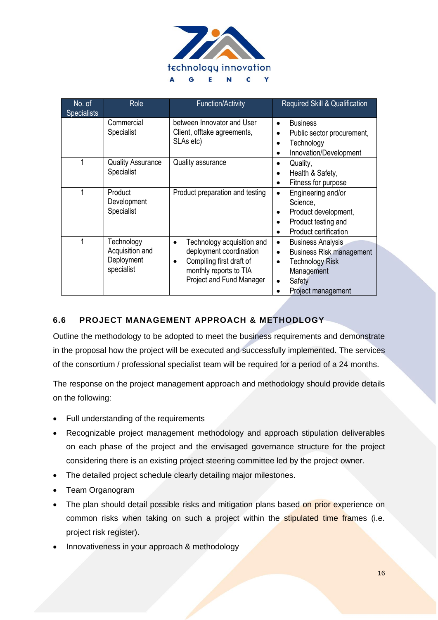

| No. of<br><b>Specialists</b> | <b>Role</b>                                               | <b>Function/Activity</b>                                                                                                                | Required Skill & Qualification                                                                                                                                             |
|------------------------------|-----------------------------------------------------------|-----------------------------------------------------------------------------------------------------------------------------------------|----------------------------------------------------------------------------------------------------------------------------------------------------------------------------|
|                              | Commercial<br>Specialist                                  | between Innovator and User<br>Client, offtake agreements,<br>SLAs etc)                                                                  | <b>Business</b><br>$\bullet$<br>Public sector procurement,<br>$\bullet$<br>Technology<br>$\bullet$<br>Innovation/Development                                               |
|                              | <b>Quality Assurance</b><br>Specialist                    | <b>Quality assurance</b>                                                                                                                | Quality,<br>$\bullet$<br>Health & Safety,<br>٠<br>Fitness for purpose<br>$\bullet$                                                                                         |
|                              | Product<br>Development<br>Specialist                      | Product preparation and testing                                                                                                         | Engineering and/or<br>$\bullet$<br>Science,<br>Product development,<br>Product testing and<br>$\bullet$<br>Product certification<br>$\bullet$                              |
|                              | Technology<br>Acquisition and<br>Deployment<br>specialist | Technology acquisition and<br>deployment coordination<br>Compiling first draft of<br>monthly reports to TIA<br>Project and Fund Manager | <b>Business Analysis</b><br>$\bullet$<br><b>Business Risk management</b><br>$\bullet$<br><b>Technology Risk</b><br>$\bullet$<br>Management<br>Safety<br>Project management |

# **6.6 PROJECT MANAGEMENT APPROACH & METHODLOGY**

Outline the methodology to be adopted to meet the business requirements and demonstrate in the proposal how the project will be executed and successfully implemented. The services of the consortium / professional specialist team will be required for a period of a 24 months.

The response on the project management approach and methodology should provide details on the following:

- Full understanding of the requirements
- Recognizable project management methodology and approach stipulation deliverables on each phase of the project and the envisaged governance structure for the project considering there is an existing project steering committee led by the project owner.
- The detailed project schedule clearly detailing major milestones.
- Team Organogram
- The plan should detail possible risks and mitigation plans based on prior experience on common risks when taking on such a project within the stipulated time frames (i.e. project risk register).
- Innovativeness in your approach & methodology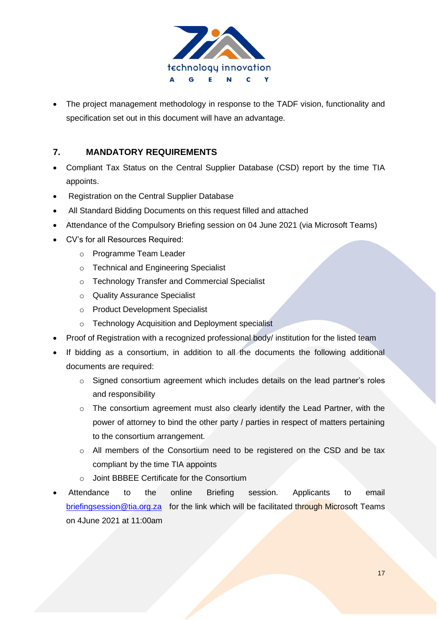

The project management methodology in response to the TADF vision, functionality and specification set out in this document will have an advantage.

# **7. MANDATORY REQUIREMENTS**

- Compliant Tax Status on the Central Supplier Database (CSD) report by the time TIA appoints.
- Registration on the Central Supplier Database
- All Standard Bidding Documents on this request filled and attached
- Attendance of the Compulsory Briefing session on 04 June 2021 (via Microsoft Teams)
- CV's for all Resources Required:
	- o Programme Team Leader
	- o Technical and Engineering Specialist
	- o Technology Transfer and Commercial Specialist
	- o Quality Assurance Specialist
	- o Product Development Specialist
	- o Technology Acquisition and Deployment specialist
- Proof of Registration with a recognized professional body/ institution for the listed team
- If bidding as a consortium, in addition to all the documents the following additional documents are required:
	- o Signed consortium agreement which includes details on the lead partner's roles and responsibility
	- o The consortium agreement must also clearly identify the Lead Partner, with the power of attorney to bind the other party / parties in respect of matters pertaining to the consortium arrangement.
	- o All members of the Consortium need to be registered on the CSD and be tax compliant by the time TIA appoints
	- o Joint BBBEE Certificate for the Consortium
- Attendance to the online Briefing session. Applicants to email [briefingsession@tia.org.za](mailto:briefingsession@tia.org.za) for the link which will be facilitated through Microsoft Teams on 4June 2021 at 11:00am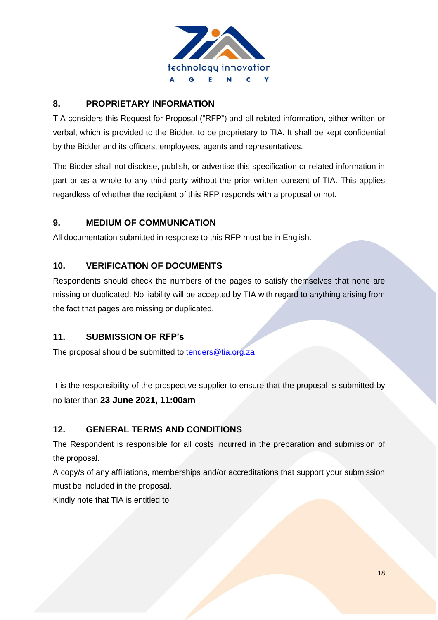

# **8. PROPRIETARY INFORMATION**

TIA considers this Request for Proposal ("RFP") and all related information, either written or verbal, which is provided to the Bidder, to be proprietary to TIA. It shall be kept confidential by the Bidder and its officers, employees, agents and representatives.

The Bidder shall not disclose, publish, or advertise this specification or related information in part or as a whole to any third party without the prior written consent of TIA. This applies regardless of whether the recipient of this RFP responds with a proposal or not.

# **9. MEDIUM OF COMMUNICATION**

All documentation submitted in response to this RFP must be in English.

# **10. VERIFICATION OF DOCUMENTS**

Respondents should check the numbers of the pages to satisfy themselves that none are missing or duplicated. No liability will be accepted by TIA with regard to anything arising from the fact that pages are missing or duplicated.

# **11. SUBMISSION OF RFP's**

The proposal should be submitted to [tenders@tia.org.za](mailto:tenders@tia.org.za)

It is the responsibility of the prospective supplier to ensure that the proposal is submitted by no later than **23 June 2021, 11:00am**

# **12. GENERAL TERMS AND CONDITIONS**

The Respondent is responsible for all costs incurred in the preparation and submission of the proposal.

A copy/s of any affiliations, memberships and/or accreditations that support your submission must be included in the proposal.

Kindly note that TIA is entitled to: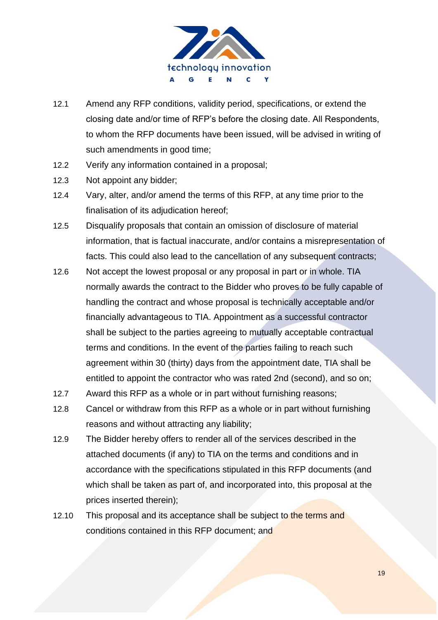

- 12.1 Amend any RFP conditions, validity period, specifications, or extend the closing date and/or time of RFP's before the closing date. All Respondents, to whom the RFP documents have been issued, will be advised in writing of such amendments in good time;
- 12.2 Verify any information contained in a proposal;
- 12.3 Not appoint any bidder;
- 12.4 Vary, alter, and/or amend the terms of this RFP, at any time prior to the finalisation of its adjudication hereof;
- 12.5 Disqualify proposals that contain an omission of disclosure of material information, that is factual inaccurate, and/or contains a misrepresentation of facts. This could also lead to the cancellation of any subsequent contracts;
- 12.6 Not accept the lowest proposal or any proposal in part or in whole. TIA normally awards the contract to the Bidder who proves to be fully capable of handling the contract and whose proposal is technically acceptable and/or financially advantageous to TIA. Appointment as a successful contractor shall be subject to the parties agreeing to mutually acceptable contractual terms and conditions. In the event of the parties failing to reach such agreement within 30 (thirty) days from the appointment date, TIA shall be entitled to appoint the contractor who was rated 2nd (second), and so on;
- 12.7 Award this RFP as a whole or in part without furnishing reasons;
- 12.8 Cancel or withdraw from this RFP as a whole or in part without furnishing reasons and without attracting any liability;
- 12.9 The Bidder hereby offers to render all of the services described in the attached documents (if any) to TIA on the terms and conditions and in accordance with the specifications stipulated in this RFP documents (and which shall be taken as part of, and incorporated into, this proposal at the prices inserted therein);
- 12.10 This proposal and its acceptance shall be subject to the terms and conditions contained in this RFP document; and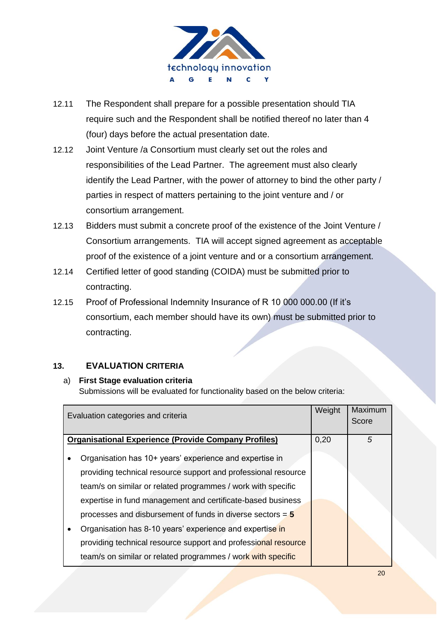

- 12.11 The Respondent shall prepare for a possible presentation should TIA require such and the Respondent shall be notified thereof no later than 4 (four) days before the actual presentation date.
- 12.12 Joint Venture /a Consortium must clearly set out the roles and responsibilities of the Lead Partner. The agreement must also clearly identify the Lead Partner, with the power of attorney to bind the other party / parties in respect of matters pertaining to the joint venture and / or consortium arrangement.
- 12.13 Bidders must submit a concrete proof of the existence of the Joint Venture / Consortium arrangements. TIA will accept signed agreement as acceptable proof of the existence of a joint venture and or a consortium arrangement.
- 12.14 Certified letter of good standing (COIDA) must be submitted prior to contracting.
- 12.15 Proof of Professional Indemnity Insurance of R 10 000 000.00 (If it's consortium, each member should have its own) must be submitted prior to contracting.

# **13. EVALUATION CRITERIA**

### a) **First Stage evaluation criteria**

Submissions will be evaluated for functionality based on the below criteria:

| Evaluation categories and criteria                                                                                                                                                                                                                                                                                                                                                                                                                     | Weight | Maximum<br>Score |
|--------------------------------------------------------------------------------------------------------------------------------------------------------------------------------------------------------------------------------------------------------------------------------------------------------------------------------------------------------------------------------------------------------------------------------------------------------|--------|------------------|
| <b>Organisational Experience (Provide Company Profiles)</b>                                                                                                                                                                                                                                                                                                                                                                                            | 0,20   | 5                |
| Organisation has 10+ years' experience and expertise in<br>providing technical resource support and professional resource<br>team/s on similar or related programmes / work with specific<br>expertise in fund management and certificate-based business<br>processes and disbursement of funds in diverse sectors $= 5$<br>Organisation has 8-10 years' experience and expertise in<br>providing technical resource support and professional resource |        |                  |
| team/s on similar or related programmes / work with specific                                                                                                                                                                                                                                                                                                                                                                                           |        |                  |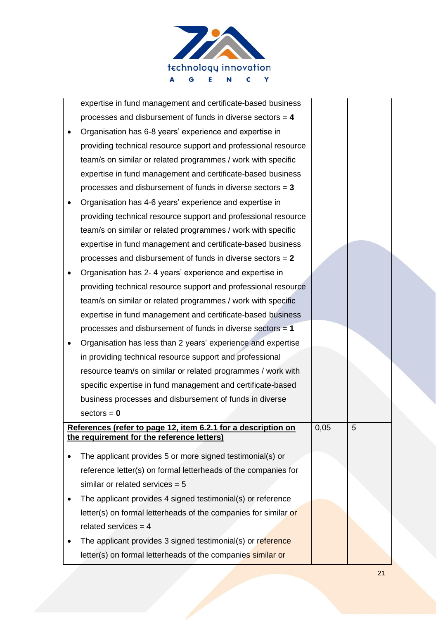

| expertise in fund management and certificate-based business          |      |   |  |
|----------------------------------------------------------------------|------|---|--|
| processes and disbursement of funds in diverse sectors $= 4$         |      |   |  |
| Organisation has 6-8 years' experience and expertise in              |      |   |  |
| providing technical resource support and professional resource       |      |   |  |
| team/s on similar or related programmes / work with specific         |      |   |  |
| expertise in fund management and certificate-based business          |      |   |  |
| processes and disbursement of funds in diverse sectors $= 3$         |      |   |  |
| Organisation has 4-6 years' experience and expertise in              |      |   |  |
| providing technical resource support and professional resource       |      |   |  |
| team/s on similar or related programmes / work with specific         |      |   |  |
| expertise in fund management and certificate-based business          |      |   |  |
| processes and disbursement of funds in diverse sectors $= 2$         |      |   |  |
| Organisation has 2-4 years' experience and expertise in              |      |   |  |
| providing technical resource support and professional resource       |      |   |  |
| team/s on similar or related programmes / work with specific         |      |   |  |
| expertise in fund management and certificate-based business          |      |   |  |
| processes and disbursement of funds in diverse sectors = 1           |      |   |  |
| Organisation has less than 2 years' experience and expertise         |      |   |  |
| in providing technical resource support and professional             |      |   |  |
| resource team/s on similar or related programmes / work with         |      |   |  |
| specific expertise in fund management and certificate-based          |      |   |  |
| business processes and disbursement of funds in diverse              |      |   |  |
| $sectors = 0$                                                        |      |   |  |
| <u>References (refer to page 12, item 6.2.1 for a description on</u> | 0,05 | 5 |  |
| the requirement for the reference letters)                           |      |   |  |
| The applicant provides 5 or more signed testimonial(s) or            |      |   |  |
| reference letter(s) on formal letterheads of the companies for       |      |   |  |
| similar or related services $= 5$                                    |      |   |  |
| The applicant provides 4 signed testimonial(s) or reference          |      |   |  |
| letter(s) on formal letterheads of the companies for similar or      |      |   |  |
| related services = $4$                                               |      |   |  |
| The applicant provides 3 signed testimonial(s) or reference          |      |   |  |
| letter(s) on formal letterheads of the companies similar or          |      |   |  |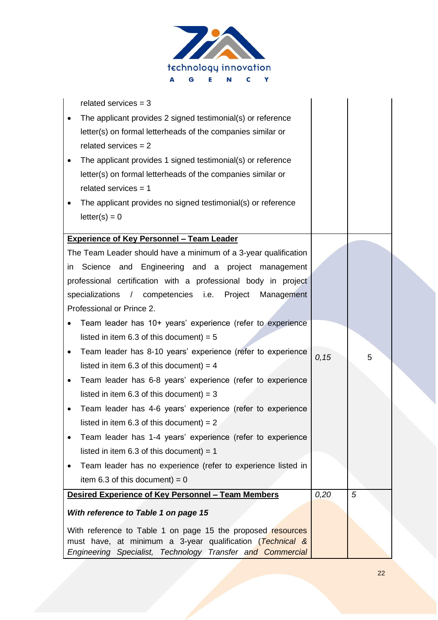

| related services $=$ 3                                                                                                   |       |   |
|--------------------------------------------------------------------------------------------------------------------------|-------|---|
| The applicant provides 2 signed testimonial(s) or reference                                                              |       |   |
| letter(s) on formal letterheads of the companies similar or                                                              |       |   |
| related services $= 2$                                                                                                   |       |   |
| The applicant provides 1 signed testimonial(s) or reference                                                              |       |   |
| letter(s) on formal letterheads of the companies similar or                                                              |       |   |
| related services $= 1$                                                                                                   |       |   |
| The applicant provides no signed testimonial(s) or reference                                                             |       |   |
| $letter(s) = 0$                                                                                                          |       |   |
|                                                                                                                          |       |   |
| <b>Experience of Key Personnel - Team Leader</b>                                                                         |       |   |
| The Team Leader should have a minimum of a 3-year qualification                                                          |       |   |
| and Engineering and a project management<br>Science<br>in                                                                |       |   |
| professional certification with a professional body in project                                                           |       |   |
| specializations / competencies i.e. Project<br>Management                                                                |       |   |
| Professional or Prince 2.                                                                                                |       |   |
| Team leader has 10+ years' experience (refer to experience                                                               |       |   |
| listed in item 6.3 of this document) = $5$                                                                               |       |   |
| Team leader has 8-10 years' experience (refer to experience                                                              | 0, 15 | 5 |
| listed in item 6.3 of this document) = $4$                                                                               |       |   |
| Team leader has 6-8 years' experience (refer to experience                                                               |       |   |
| listed in item 6.3 of this document) = $3$                                                                               |       |   |
| Team leader has 4-6 years' experience (refer to experience                                                               |       |   |
| listed in item 6.3 of this document) = $2$                                                                               |       |   |
| Team leader has 1-4 years' experience (refer to experience                                                               |       |   |
| listed in item 6.3 of this document) = $1$                                                                               |       |   |
| Team leader has no experience (refer to experience listed in                                                             |       |   |
| item 6.3 of this document) = $0$                                                                                         |       |   |
| Desired Experience of Key Personnel - Team Members                                                                       | 0,20  | 5 |
| With reference to Table 1 on page 15                                                                                     |       |   |
|                                                                                                                          |       |   |
| With reference to Table 1 on page 15 the proposed resources<br>must have, at minimum a 3-year qualification (Technical & |       |   |
| Engineering Specialist, Technology Transfer and Commercial                                                               |       |   |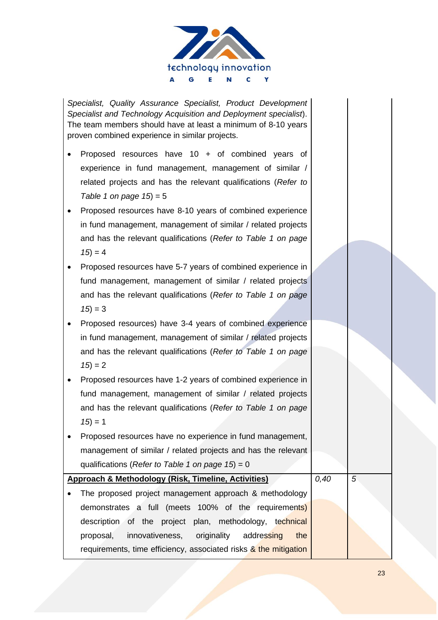

*Specialist, Quality Assurance Specialist, Product Development Specialist and Technology Acquisition and Deployment specialist*). The team members should have at least a minimum of 8-10 years proven combined experience in similar projects.

- Proposed resources have 10 + of combined years of experience in fund management, management of similar / related projects and has the relevant qualifications (*Refer to Table 1 on page 15*) = 5
- Proposed resources have 8-10 years of combined experience in fund management, management of similar / related projects and has the relevant qualifications (*Refer to Table 1 on page*   $15 = 4$
- Proposed resources have 5-7 years of combined experience in fund management, management of similar / related projects and has the relevant qualifications (*Refer to Table 1 on page*   $15 = 3$
- Proposed resources) have 3-4 years of combined experience in fund management, management of similar / related projects and has the relevant qualifications (*Refer to Table 1 on page*   $15 = 2$
- Proposed resources have 1-2 years of combined experience in fund management, management of similar / related projects and has the relevant qualifications (*Refer to Table 1 on page*   $15 = 1$
- Proposed resources have no experience in fund management, management of similar / related projects and has the relevant qualifications (*Refer to Table 1 on page 15*) = 0

# **Approach & Methodology (Risk, Timeline, Activities)**  The proposed project management approach & methodology demonstrates a full (meets 100% of the requirements) description of the project plan, methodology, technical proposal, innovativeness, originality addressing the requirements, time efficiency, associated risks & the mitigation *0,40 5*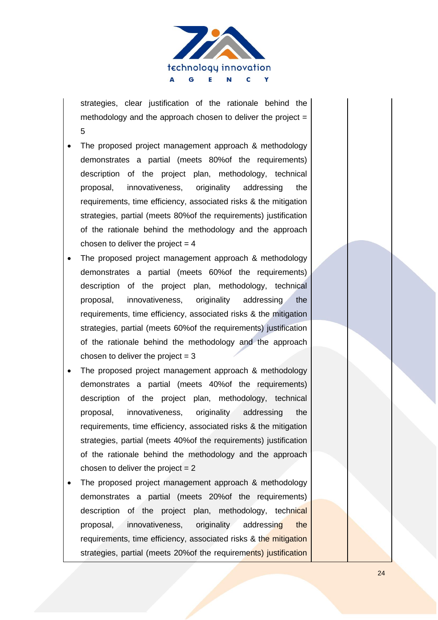

strategies, clear justification of the rationale behind the methodology and the approach chosen to deliver the project  $=$ 5

- The proposed project management approach & methodology demonstrates a partial (meets 80%of the requirements) description of the project plan, methodology, technical proposal, innovativeness, originality addressing the requirements, time efficiency, associated risks & the mitigation strategies, partial (meets 80%of the requirements) justification of the rationale behind the methodology and the approach chosen to deliver the project  $= 4$
- The proposed project management approach & methodology demonstrates a partial (meets 60%of the requirements) description of the project plan, methodology, technical proposal, innovativeness, originality addressing the requirements, time efficiency, associated risks & the mitigation strategies, partial (meets 60%of the requirements) justification of the rationale behind the methodology and the approach chosen to deliver the project  $= 3$
- The proposed project management approach & methodology demonstrates a partial (meets 40%of the requirements) description of the project plan, methodology, technical proposal, innovativeness, originality addressing the requirements, time efficiency, associated risks & the mitigation strategies, partial (meets 40%of the requirements) justification of the rationale behind the methodology and the approach chosen to deliver the project  $= 2$
- The proposed project management approach & methodology demonstrates a partial (meets 20%of the requirements) description of the project plan, methodology, technical proposal, innovativeness, originality addressing the requirements, time efficiency, associated risks & the mitigation strategies, partial (meets 20% of the requirements) justification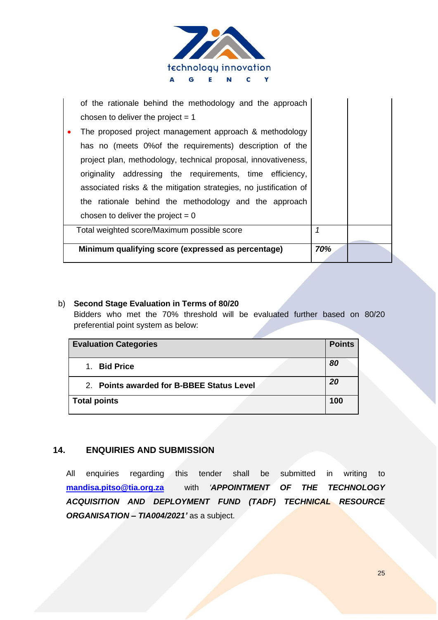

| of the rationale behind the methodology and the approach<br>chosen to deliver the project $= 1$<br>The proposed project management approach & methodology<br>has no (meets 0% of the requirements) description of the<br>project plan, methodology, technical proposal, innovativeness,<br>originality addressing the requirements, time efficiency,<br>associated risks & the mitigation strategies, no justification of<br>the rationale behind the methodology and the approach<br>chosen to deliver the project = $0$ |     |  |
|---------------------------------------------------------------------------------------------------------------------------------------------------------------------------------------------------------------------------------------------------------------------------------------------------------------------------------------------------------------------------------------------------------------------------------------------------------------------------------------------------------------------------|-----|--|
| Total weighted score/Maximum possible score                                                                                                                                                                                                                                                                                                                                                                                                                                                                               | 1   |  |
| Minimum qualifying score (expressed as percentage)                                                                                                                                                                                                                                                                                                                                                                                                                                                                        | 70% |  |

### b) **Second Stage Evaluation in Terms of 80/20**

Bidders who met the 70% threshold will be evaluated further based on 80/20 preferential point system as below:

|                     | <b>Evaluation Categories</b>              | <b>Points</b> |
|---------------------|-------------------------------------------|---------------|
| $1_{-}$             | <b>Bid Price</b>                          | 80            |
|                     | 2. Points awarded for B-BBEE Status Level | 20            |
| <b>Total points</b> |                                           | 100           |

## **14. ENQUIRIES AND SUBMISSION**

All enquiries regarding this tender shall be submitted in writing to **[mandisa.pitso@tia.org.za](mailto:mandisa.pitso@tia.org.za)** with *'APPOINTMENT OF THE TECHNOLOGY ACQUISITION AND DEPLOYMENT FUND (TADF) TECHNICAL RESOURCE ORGANISATION – TIA004/2021'* as a subject.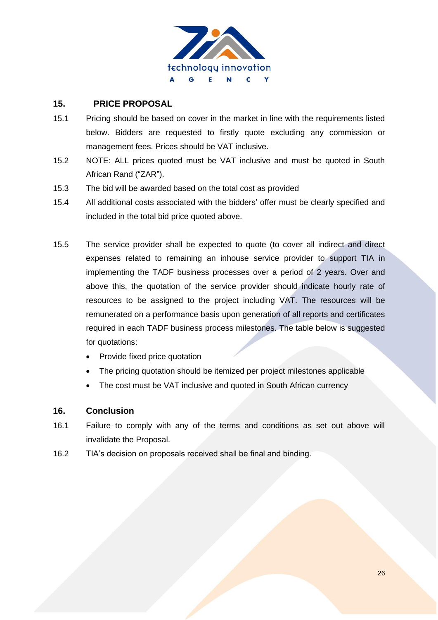

## **15. PRICE PROPOSAL**

- 15.1 Pricing should be based on cover in the market in line with the requirements listed below. Bidders are requested to firstly quote excluding any commission or management fees. Prices should be VAT inclusive.
- 15.2 NOTE: ALL prices quoted must be VAT inclusive and must be quoted in South African Rand ("ZAR").
- 15.3 The bid will be awarded based on the total cost as provided
- 15.4 All additional costs associated with the bidders' offer must be clearly specified and included in the total bid price quoted above.
- 15.5 The service provider shall be expected to quote (to cover all indirect and direct expenses related to remaining an inhouse service provider to support TIA in implementing the TADF business processes over a period of 2 years. Over and above this, the quotation of the service provider should indicate hourly rate of resources to be assigned to the project including VAT. The resources will be remunerated on a performance basis upon generation of all reports and certificates required in each TADF business process milestones. The table below is suggested for quotations:
	- Provide fixed price quotation
	- The pricing quotation should be itemized per project milestones applicable
	- The cost must be VAT inclusive and quoted in South African currency

### **16. Conclusion**

- 16.1 Failure to comply with any of the terms and conditions as set out above will invalidate the Proposal.
- 16.2 TIA's decision on proposals received shall be final and binding.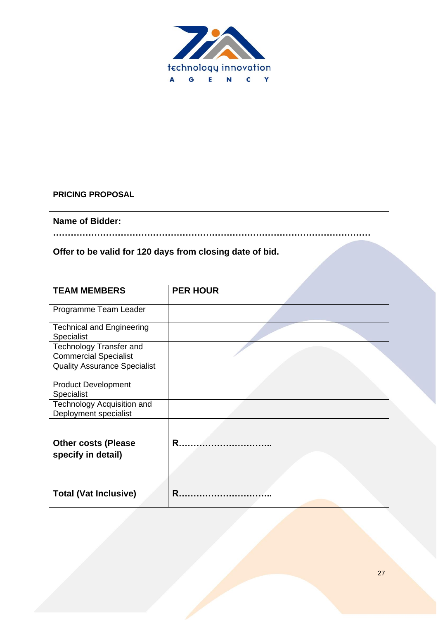

# **PRICING PROPOSAL**

| <b>Name of Bidder:</b>                                         |                 |  |  |  |  |  |  |
|----------------------------------------------------------------|-----------------|--|--|--|--|--|--|
| Offer to be valid for 120 days from closing date of bid.       |                 |  |  |  |  |  |  |
| <b>TEAM MEMBERS</b>                                            | <b>PER HOUR</b> |  |  |  |  |  |  |
| Programme Team Leader                                          |                 |  |  |  |  |  |  |
| <b>Technical and Engineering</b><br><b>Specialist</b>          |                 |  |  |  |  |  |  |
| <b>Technology Transfer and</b><br><b>Commercial Specialist</b> |                 |  |  |  |  |  |  |
| <b>Quality Assurance Specialist</b>                            |                 |  |  |  |  |  |  |
| <b>Product Development</b><br>Specialist                       |                 |  |  |  |  |  |  |
| Technology Acquisition and<br>Deployment specialist            |                 |  |  |  |  |  |  |
| <b>Other costs (Please</b><br>specify in detail)               | R.              |  |  |  |  |  |  |
| <b>Total (Vat Inclusive)</b>                                   | R               |  |  |  |  |  |  |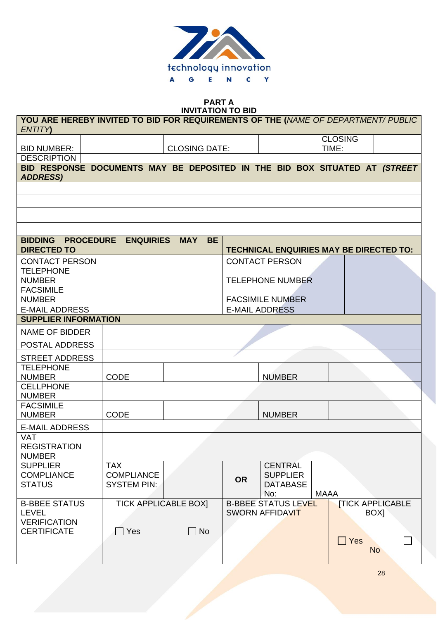

**PART A**

| <b>INVITATION TO BID</b><br>YOU ARE HEREBY INVITED TO BID FOR REQUIREMENTS OF THE (NAME OF DEPARTMENT/ PUBLIC |                    |  |                             |                            |     |                 |  |                |           |                                                |
|---------------------------------------------------------------------------------------------------------------|--------------------|--|-----------------------------|----------------------------|-----|-----------------|--|----------------|-----------|------------------------------------------------|
|                                                                                                               |                    |  |                             |                            |     |                 |  |                |           |                                                |
| <b>ENTITY</b>                                                                                                 |                    |  |                             |                            |     |                 |  |                |           |                                                |
|                                                                                                               |                    |  |                             |                            |     |                 |  | <b>CLOSING</b> |           |                                                |
| <b>BID NUMBER:</b>                                                                                            |                    |  | <b>CLOSING DATE:</b>        |                            |     |                 |  | TIME:          |           |                                                |
| <b>DESCRIPTION</b>                                                                                            |                    |  |                             |                            |     |                 |  |                |           |                                                |
| BID RESPONSE DOCUMENTS MAY BE DEPOSITED IN THE BID BOX SITUATED AT (STREET<br><b>ADDRESS)</b>                 |                    |  |                             |                            |     |                 |  |                |           |                                                |
|                                                                                                               |                    |  |                             |                            |     |                 |  |                |           |                                                |
|                                                                                                               |                    |  |                             |                            |     |                 |  |                |           |                                                |
|                                                                                                               |                    |  |                             |                            |     |                 |  |                |           |                                                |
|                                                                                                               |                    |  |                             |                            |     |                 |  |                |           |                                                |
|                                                                                                               |                    |  |                             |                            |     |                 |  |                |           |                                                |
|                                                                                                               |                    |  |                             |                            |     |                 |  |                |           |                                                |
| BIDDING PROCEDURE ENQUIRIES                                                                                   |                    |  | <b>MAY</b><br><b>BE</b>     |                            |     |                 |  |                |           |                                                |
| <b>DIRECTED TO</b>                                                                                            |                    |  |                             |                            |     |                 |  |                |           | <b>TECHNICAL ENQUIRIES MAY BE DIRECTED TO:</b> |
| <b>CONTACT PERSON</b>                                                                                         |                    |  |                             | <b>CONTACT PERSON</b>      |     |                 |  |                |           |                                                |
| <b>TELEPHONE</b>                                                                                              |                    |  |                             |                            |     |                 |  |                |           |                                                |
| <b>NUMBER</b>                                                                                                 |                    |  |                             | <b>TELEPHONE NUMBER</b>    |     |                 |  |                |           |                                                |
| <b>FACSIMILE</b>                                                                                              |                    |  |                             |                            |     |                 |  |                |           |                                                |
| <b>NUMBER</b>                                                                                                 |                    |  |                             | <b>FACSIMILE NUMBER</b>    |     |                 |  |                |           |                                                |
| <b>E-MAIL ADDRESS</b>                                                                                         |                    |  |                             | <b>E-MAIL ADDRESS</b>      |     |                 |  |                |           |                                                |
| <b>SUPPLIER INFORMATION</b>                                                                                   |                    |  |                             |                            |     |                 |  |                |           |                                                |
| <b>NAME OF BIDDER</b>                                                                                         |                    |  |                             |                            |     |                 |  |                |           |                                                |
| POSTAL ADDRESS                                                                                                |                    |  |                             |                            |     |                 |  |                |           |                                                |
| <b>STREET ADDRESS</b>                                                                                         |                    |  |                             |                            |     |                 |  |                |           |                                                |
| <b>TELEPHONE</b>                                                                                              |                    |  |                             |                            |     |                 |  |                |           |                                                |
| <b>NUMBER</b>                                                                                                 | <b>CODE</b>        |  |                             |                            |     | <b>NUMBER</b>   |  |                |           |                                                |
| <b>CELLPHONE</b>                                                                                              |                    |  |                             |                            |     |                 |  |                |           |                                                |
| <b>NUMBER</b>                                                                                                 |                    |  |                             |                            |     |                 |  |                |           |                                                |
| <b>FACSIMILE</b>                                                                                              |                    |  |                             |                            |     |                 |  |                |           |                                                |
| <b>NUMBER</b>                                                                                                 | <b>CODE</b>        |  |                             |                            |     | <b>NUMBER</b>   |  |                |           |                                                |
| <b>E-MAIL ADDRESS</b>                                                                                         |                    |  |                             |                            |     |                 |  |                |           |                                                |
| VAT                                                                                                           |                    |  |                             |                            |     |                 |  |                |           |                                                |
| <b>REGISTRATION</b>                                                                                           |                    |  |                             |                            |     |                 |  |                |           |                                                |
| <b>NUMBER</b>                                                                                                 |                    |  |                             |                            |     |                 |  |                |           |                                                |
| <b>SUPPLIER</b>                                                                                               | <b>TAX</b>         |  |                             |                            |     | <b>CENTRAL</b>  |  |                |           |                                                |
| <b>COMPLIANCE</b>                                                                                             | <b>COMPLIANCE</b>  |  |                             | <b>OR</b>                  |     | <b>SUPPLIER</b> |  |                |           |                                                |
| <b>STATUS</b>                                                                                                 | <b>SYSTEM PIN:</b> |  |                             |                            | No: | <b>DATABASE</b> |  | <b>MAAA</b>    |           |                                                |
| <b>B-BBEE STATUS</b>                                                                                          |                    |  | <b>TICK APPLICABLE BOX]</b> | <b>B-BBEE STATUS LEVEL</b> |     |                 |  |                |           | <b>ITICK APPLICABLE</b>                        |
| <b>LEVEL</b>                                                                                                  |                    |  |                             | <b>SWORN AFFIDAVIT</b>     |     |                 |  |                | BOX]      |                                                |
| <b>VERIFICATION</b>                                                                                           |                    |  |                             |                            |     |                 |  |                |           |                                                |
| <b>CERTIFICATE</b>                                                                                            | $\Box$ Yes         |  | $\Box$ No                   |                            |     |                 |  |                |           |                                                |
|                                                                                                               |                    |  |                             |                            |     |                 |  | $\Box$ Yes     |           |                                                |
|                                                                                                               |                    |  |                             |                            |     |                 |  |                | <b>No</b> |                                                |
|                                                                                                               |                    |  |                             |                            |     |                 |  |                |           |                                                |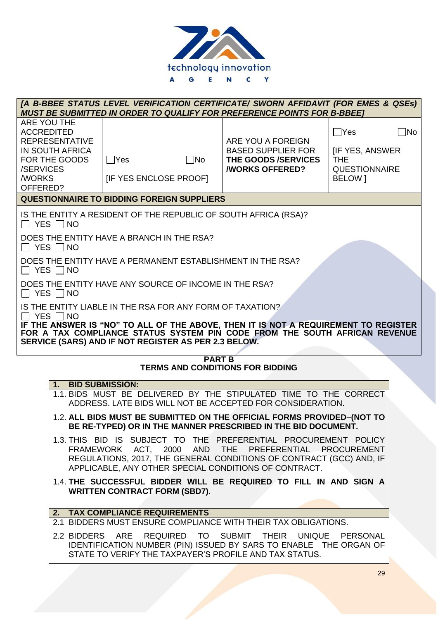

|                                                                                                                                                                                                                                                                                                                                 |                                            |              | [A B-BBEE STATUS LEVEL VERIFICATION CERTIFICATE/ SWORN AFFIDAVIT (FOR EMES & QSEs)<br><b>MUST BE SUBMITTED IN ORDER TO QUALIFY FOR PREFERENCE POINTS FOR B-BBEET</b>                    |                                                                                          |           |  |
|---------------------------------------------------------------------------------------------------------------------------------------------------------------------------------------------------------------------------------------------------------------------------------------------------------------------------------|--------------------------------------------|--------------|-----------------------------------------------------------------------------------------------------------------------------------------------------------------------------------------|------------------------------------------------------------------------------------------|-----------|--|
| ARE YOU THE<br><b>ACCREDITED</b><br><b>REPRESENTATIVE</b><br><b>IN SOUTH AFRICA</b><br>FOR THE GOODS<br>/SERVICES<br><b>/WORKS</b><br>OFFERED?                                                                                                                                                                                  | $\Box$ Yes<br><b>IF YES ENCLOSE PROOFI</b> | $\square$ No | ARE YOU A FOREIGN<br><b>BASED SUPPLIER FOR</b><br>THE GOODS /SERVICES<br><b><i>NORKS OFFERED?</i></b>                                                                                   | $\bigcap$ Yes<br><b>IIF YES, ANSWER</b><br><b>THE</b><br><b>QUESTIONNAIRE</b><br>BELOW 1 | $\Box$ No |  |
| <b>QUESTIONNAIRE TO BIDDING FOREIGN SUPPLIERS</b>                                                                                                                                                                                                                                                                               |                                            |              |                                                                                                                                                                                         |                                                                                          |           |  |
| $\Box$ YES $\Box$ NO<br>DOES THE ENTITY HAVE A BRANCH IN THE RSA?<br>$\Box$ YES $\Box$ NO                                                                                                                                                                                                                                       |                                            |              | IS THE ENTITY A RESIDENT OF THE REPUBLIC OF SOUTH AFRICA (RSA)?                                                                                                                         |                                                                                          |           |  |
| DOES THE ENTITY HAVE A PERMANENT ESTABLISHMENT IN THE RSA?<br>$\Box$ YES $\Box$ NO                                                                                                                                                                                                                                              |                                            |              |                                                                                                                                                                                         |                                                                                          |           |  |
| DOES THE ENTITY HAVE ANY SOURCE OF INCOME IN THE RSA?<br>$\Box$ YES $\Box$ NO                                                                                                                                                                                                                                                   |                                            |              |                                                                                                                                                                                         |                                                                                          |           |  |
| IS THE ENTITY LIABLE IN THE RSA FOR ANY FORM OF TAXATION?<br>$\Box$ Yes $\Box$ No<br>IF THE ANSWER IS "NO" TO ALL OF THE ABOVE, THEN IT IS NOT A REQUIREMENT TO REGISTER<br>FOR A TAX COMPLIANCE STATUS SYSTEM PIN CODE FROM THE SOUTH AFRICAN REVENUE<br>SERVICE (SARS) AND IF NOT REGISTER AS PER 2.3 BELOW.<br><b>PART B</b> |                                            |              |                                                                                                                                                                                         |                                                                                          |           |  |
|                                                                                                                                                                                                                                                                                                                                 |                                            |              | <b>TERMS AND CONDITIONS FOR BIDDING</b>                                                                                                                                                 |                                                                                          |           |  |
| 1.                                                                                                                                                                                                                                                                                                                              | <b>BID SUBMISSION:</b>                     |              | 1.1. BIDS MUST BE DELIVERED BY THE STIPULATED TIME TO THE CORRECT                                                                                                                       |                                                                                          |           |  |
|                                                                                                                                                                                                                                                                                                                                 |                                            |              | ADDRESS. LATE BIDS WILL NOT BE ACCEPTED FOR CONSIDERATION.                                                                                                                              |                                                                                          |           |  |
|                                                                                                                                                                                                                                                                                                                                 |                                            |              | 1.2. ALL BIDS MUST BE SUBMITTED ON THE OFFICIAL FORMS PROVIDED-(NOT TO<br>BE RE-TYPED) OR IN THE MANNER PRESCRIBED IN THE BID DOCUMENT.                                                 |                                                                                          |           |  |
| 1.3. THIS BID IS SUBJECT TO THE PREFERENTIAL PROCUREMENT POLICY<br>FRAMEWORK ACT, 2000 AND THE PREFERENTIAL PROCUREMENT<br>REGULATIONS, 2017, THE GENERAL CONDITIONS OF CONTRACT (GCC) AND, IF<br>APPLICABLE, ANY OTHER SPECIAL CONDITIONS OF CONTRACT.                                                                         |                                            |              |                                                                                                                                                                                         |                                                                                          |           |  |
| 1.4. THE SUCCESSFUL BIDDER WILL BE REQUIRED TO FILL IN AND SIGN A<br><b>WRITTEN CONTRACT FORM (SBD7).</b>                                                                                                                                                                                                                       |                                            |              |                                                                                                                                                                                         |                                                                                          |           |  |
|                                                                                                                                                                                                                                                                                                                                 | 2. TAX COMPLIANCE REQUIREMENTS             |              |                                                                                                                                                                                         |                                                                                          |           |  |
|                                                                                                                                                                                                                                                                                                                                 |                                            |              | 2.1 BIDDERS MUST ENSURE COMPLIANCE WITH THEIR TAX OBLIGATIONS.                                                                                                                          |                                                                                          |           |  |
|                                                                                                                                                                                                                                                                                                                                 |                                            |              | 2.2 BIDDERS ARE REQUIRED TO SUBMIT THEIR UNIQUE PERSONAL<br>IDENTIFICATION NUMBER (PIN) ISSUED BY SARS TO ENABLE THE ORGAN OF<br>STATE TO VERIFY THE TAXPAYER'S PROFILE AND TAX STATUS. |                                                                                          |           |  |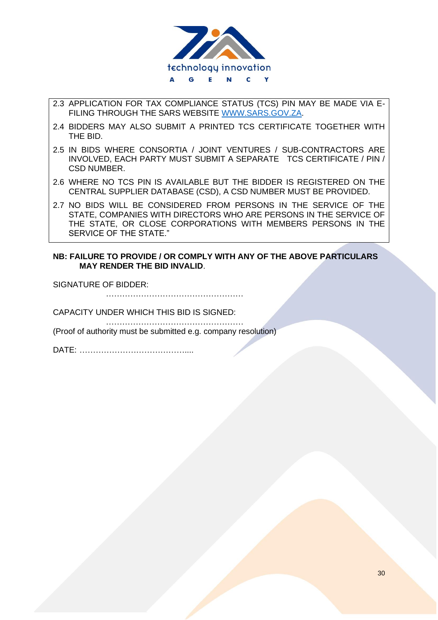

- 2.3 APPLICATION FOR TAX COMPLIANCE STATUS (TCS) PIN MAY BE MADE VIA E-FILING THROUGH THE SARS WEBSITE [WWW.SARS.GOV.ZA.](http://www.sars.gov.za/)
- 2.4 BIDDERS MAY ALSO SUBMIT A PRINTED TCS CERTIFICATE TOGETHER WITH THE BID.
- 2.5 IN BIDS WHERE CONSORTIA / JOINT VENTURES / SUB-CONTRACTORS ARE INVOLVED, EACH PARTY MUST SUBMIT A SEPARATE TCS CERTIFICATE / PIN / CSD NUMBER.
- 2.6 WHERE NO TCS PIN IS AVAILABLE BUT THE BIDDER IS REGISTERED ON THE CENTRAL SUPPLIER DATABASE (CSD), A CSD NUMBER MUST BE PROVIDED.
- 2.7 NO BIDS WILL BE CONSIDERED FROM PERSONS IN THE SERVICE OF THE STATE, COMPANIES WITH DIRECTORS WHO ARE PERSONS IN THE SERVICE OF THE STATE, OR CLOSE CORPORATIONS WITH MEMBERS PERSONS IN THE SERVICE OF THE STATE."

#### **NB: FAILURE TO PROVIDE / OR COMPLY WITH ANY OF THE ABOVE PARTICULARS MAY RENDER THE BID INVALID**.

SIGNATURE OF BIDDER:

……………………………………………

CAPACITY UNDER WHICH THIS BID IS SIGNED:

…………………………………………… (Proof of authority must be submitted e.g. company resolution)

DATE: …………………………………....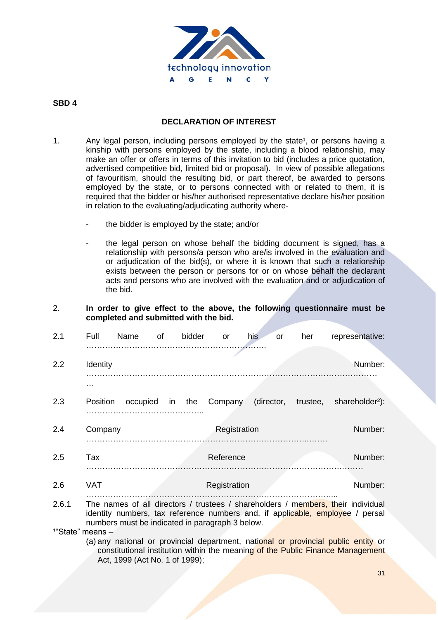

### **SBD 4**

### **DECLARATION OF INTEREST**

- 1. Any legal person, including persons employed by the state<sup>1</sup>, or persons having a kinship with persons employed by the state, including a blood relationship, may make an offer or offers in terms of this invitation to bid (includes a price quotation, advertised competitive bid, limited bid or proposal). In view of possible allegations of favouritism, should the resulting bid, or part thereof, be awarded to persons employed by the state, or to persons connected with or related to them, it is required that the bidder or his/her authorised representative declare his/her position in relation to the evaluating/adjudicating authority where
	- the bidder is employed by the state; and/or
	- the legal person on whose behalf the bidding document is signed, has a relationship with persons/a person who are/is involved in the evaluation and or adjudication of the bid(s), or where it is known that such a relationship exists between the person or persons for or on whose behalf the declarant acts and persons who are involved with the evaluation and or adjudication of the bid.
- 2. **In order to give effect to the above, the following questionnaire must be completed and submitted with the bid.**

| 2.1   | Full       | Name     | of | bidder | <b>or</b>    | his<br>or  | her      | representative:                                                                                                                                                   |
|-------|------------|----------|----|--------|--------------|------------|----------|-------------------------------------------------------------------------------------------------------------------------------------------------------------------|
|       |            |          |    |        |              |            |          |                                                                                                                                                                   |
| 2.2   | Identity   |          |    |        |              |            |          | Number:                                                                                                                                                           |
|       | .          |          |    |        |              |            |          |                                                                                                                                                                   |
| 2.3   | Position   | occupied |    | in the | Company      | (director, | trustee, | shareholder <sup>2</sup> ):                                                                                                                                       |
|       |            |          |    |        |              |            |          |                                                                                                                                                                   |
| 2.4   | Company    |          |    |        | Registration |            |          | Number:                                                                                                                                                           |
|       |            |          |    |        |              |            |          |                                                                                                                                                                   |
| 2.5   | Tax        |          |    |        | Reference    |            |          | Number:                                                                                                                                                           |
| 2.6   | <b>VAT</b> |          |    |        | Registration |            |          | Number:                                                                                                                                                           |
|       |            |          |    |        |              |            |          |                                                                                                                                                                   |
| 2.6.1 |            |          |    |        |              |            |          | The names of all directors / trustees / shareholders / members, their individual<br>identity numbers, tax reference numbers and, if applicable, employee / persal |

numbers must be indicated in paragraph 3 below.  $1^{\circ}$ State" means  $-$  (a) any national or provincial department, national or provincial public entity or constitutional institution within the meaning of the Public Finance Management Act, 1999 (Act No. 1 of 1999);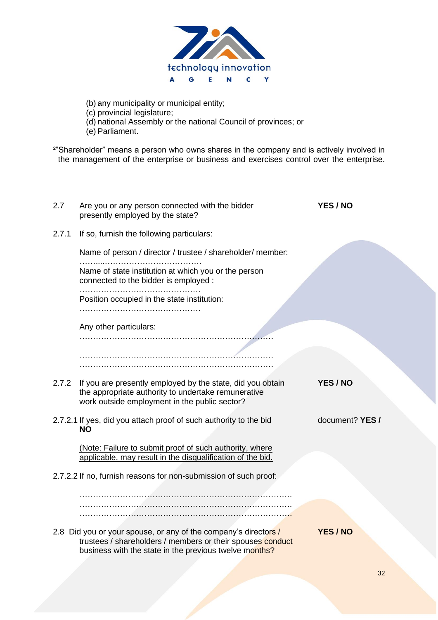

- (b) any municipality or municipal entity;
- (c) provincial legislature;
- (d) national Assembly or the national Council of provinces; or
- (e) Parliament.

<sup>2</sup>"Shareholder" means a person who owns shares in the company and is actively involved in the management of the enterprise or business and exercises control over the enterprise.

| 2.7   | Are you or any person connected with the bidder<br>presently employed by the state?                                                                                                     | <b>YES / NO</b> |
|-------|-----------------------------------------------------------------------------------------------------------------------------------------------------------------------------------------|-----------------|
| 2.7.1 | If so, furnish the following particulars:                                                                                                                                               |                 |
|       | Name of person / director / trustee / shareholder/ member:                                                                                                                              |                 |
|       | Name of state institution at which you or the person<br>connected to the bidder is employed :                                                                                           |                 |
|       | Position occupied in the state institution:                                                                                                                                             |                 |
|       | Any other particulars:                                                                                                                                                                  |                 |
|       |                                                                                                                                                                                         |                 |
|       | 2.7.2 If you are presently employed by the state, did you obtain<br>the appropriate authority to undertake remunerative<br>work outside employment in the public sector?                | YES / NO        |
|       | 2.7.2.1 If yes, did you attach proof of such authority to the bid<br><b>NO</b>                                                                                                          | document? YES / |
|       | (Note: Failure to submit proof of such authority, where<br>applicable, may result in the disqualification of the bid.                                                                   |                 |
|       | 2.7.2.2 If no, furnish reasons for non-submission of such proof:                                                                                                                        |                 |
|       |                                                                                                                                                                                         |                 |
|       | 2.8 Did you or your spouse, or any of the company's directors /<br>trustees / shareholders / members or their spouses conduct<br>business with the state in the previous twelve months? | <b>YES / NO</b> |
|       |                                                                                                                                                                                         |                 |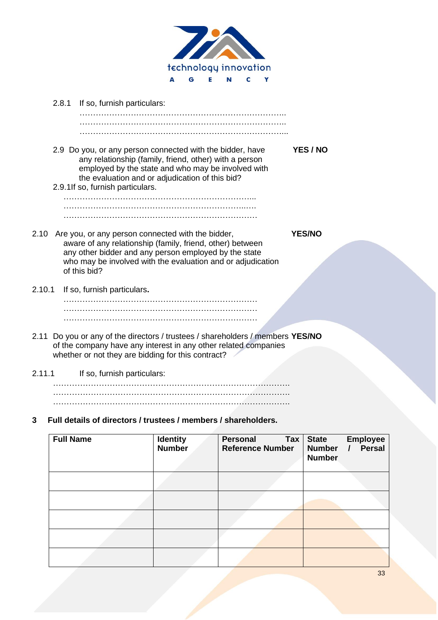

|        | 2.8.1 | If so, furnish particulars:                                                                                                                                                                                                                                      |               |
|--------|-------|------------------------------------------------------------------------------------------------------------------------------------------------------------------------------------------------------------------------------------------------------------------|---------------|
|        |       |                                                                                                                                                                                                                                                                  |               |
|        |       | 2.9 Do you, or any person connected with the bidder, have<br>any relationship (family, friend, other) with a person<br>employed by the state and who may be involved with<br>the evaluation and or adjudication of this bid?<br>2.9.1If so, furnish particulars. | YES / NO      |
|        |       |                                                                                                                                                                                                                                                                  |               |
| 2.10   |       | Are you, or any person connected with the bidder,<br>aware of any relationship (family, friend, other) between<br>any other bidder and any person employed by the state<br>who may be involved with the evaluation and or adjudication<br>of this bid?           | <b>YES/NO</b> |
| 2.10.1 |       | If so, furnish particulars.                                                                                                                                                                                                                                      |               |
|        |       |                                                                                                                                                                                                                                                                  |               |
| 2.11   |       | Do you or any of the directors / trustees / shareholders / members YES/NO<br>of the company have any interest in any other related companies<br>whether or not they are bidding for this contract?                                                               |               |
| 2.11.1 |       | If so, furnish particulars:                                                                                                                                                                                                                                      |               |
|        |       |                                                                                                                                                                                                                                                                  |               |

**3 Full details of directors / trustees / members / shareholders.**

| <b>Full Name</b> | <b>Identity</b><br><b>Number</b> | Personal<br><b>Tax</b><br><b>Reference Number</b> | <b>State</b><br><b>Employee</b><br><b>Persal</b><br><b>Number</b><br><b>Number</b> |
|------------------|----------------------------------|---------------------------------------------------|------------------------------------------------------------------------------------|
|                  |                                  |                                                   |                                                                                    |
|                  |                                  |                                                   |                                                                                    |
|                  |                                  |                                                   |                                                                                    |
|                  |                                  |                                                   |                                                                                    |
|                  |                                  |                                                   |                                                                                    |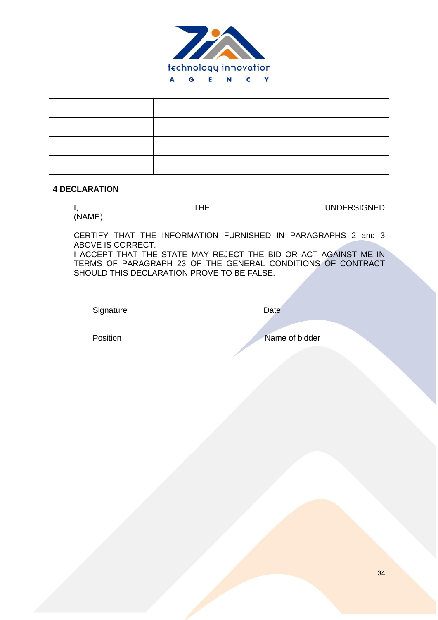

#### **4 DECLARATION**

|       | <b>'JNDERSIGNED</b> |
|-------|---------------------|
| (NAMF |                     |

CERTIFY THAT THE INFORMATION FURNISHED IN PARAGRAPHS 2 and 3 ABOVE IS CORRECT. I ACCEPT THAT THE STATE MAY REJECT THE BID OR ACT AGAINST ME IN

TERMS OF PARAGRAPH 23 OF THE GENERAL CONDITIONS OF CONTRACT SHOULD THIS DECLARATION PROVE TO BE FALSE.

| Signature |                |
|-----------|----------------|
|           |                |
|           | Name of bidder |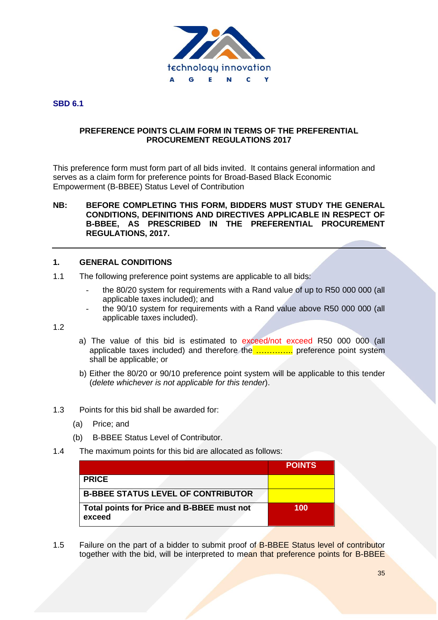

#### **SBD 6.1**

#### **PREFERENCE POINTS CLAIM FORM IN TERMS OF THE PREFERENTIAL PROCUREMENT REGULATIONS 2017**

This preference form must form part of all bids invited. It contains general information and serves as a claim form for preference points for Broad-Based Black Economic Empowerment (B-BBEE) Status Level of Contribution

#### **NB: BEFORE COMPLETING THIS FORM, BIDDERS MUST STUDY THE GENERAL CONDITIONS, DEFINITIONS AND DIRECTIVES APPLICABLE IN RESPECT OF B-BBEE, AS PRESCRIBED IN THE PREFERENTIAL PROCUREMENT REGULATIONS, 2017.**

#### **1. GENERAL CONDITIONS**

- 1.1 The following preference point systems are applicable to all bids:
	- the 80/20 system for requirements with a Rand value of up to R50 000 000 (all applicable taxes included); and
	- the 90/10 system for requirements with a Rand value above R50 000 000 (all applicable taxes included).

1.2

- a) The value of this bid is estimated to exceed/not exceed R50 000 000 (all applicable taxes included) and therefore the ………….. preference point system shall be applicable; or
- b) Either the 80/20 or 90/10 preference point system will be applicable to this tender (*delete whichever is not applicable for this tender*).
- 1.3 Points for this bid shall be awarded for:
	- (a) Price; and
	- (b) B-BBEE Status Level of Contributor.
- 1.4 The maximum points for this bid are allocated as follows:

|                                                      | <b>POINTS</b> |
|------------------------------------------------------|---------------|
| <b>PRICE</b>                                         |               |
| <b>B-BBEE STATUS LEVEL OF CONTRIBUTOR</b>            |               |
| Total points for Price and B-BBEE must not<br>exceed | 100           |

1.5 Failure on the part of a bidder to submit proof of **B-BBEE Status level of contributor** together with the bid, will be interpreted to mean that preference points for B-BBEE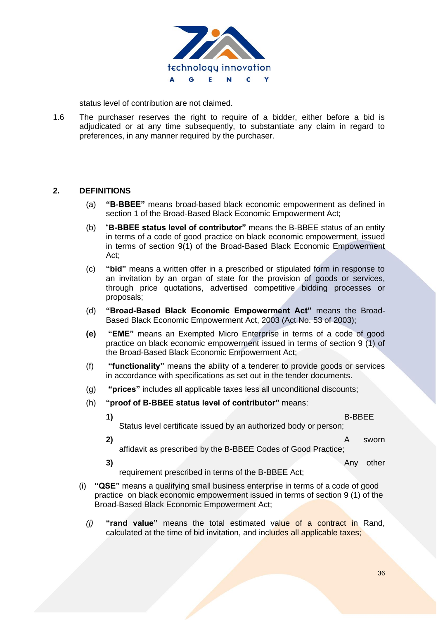

status level of contribution are not claimed.

1.6 The purchaser reserves the right to require of a bidder, either before a bid is adjudicated or at any time subsequently, to substantiate any claim in regard to preferences, in any manner required by the purchaser.

#### **2. DEFINITIONS**

- (a) **"B-BBEE"** means broad-based black economic empowerment as defined in section 1 of the Broad-Based Black Economic Empowerment Act;
- (b) "**B-BBEE status level of contributor"** means the B-BBEE status of an entity in terms of a code of good practice on black economic empowerment, issued in terms of section 9(1) of the Broad-Based Black Economic Empowerment Act;
- (c) **"bid"** means a written offer in a prescribed or stipulated form in response to an invitation by an organ of state for the provision of goods or services, through price quotations, advertised competitive bidding processes or proposals;
- (d) **"Broad-Based Black Economic Empowerment Act"** means the Broad-Based Black Economic Empowerment Act, 2003 (Act No. 53 of 2003);
- **(e) "EME"** means an Exempted Micro Enterprise in terms of a code of good practice on black economic empowerment issued in terms of section 9 (1) of the Broad-Based Black Economic Empowerment Act;
- (f) **"functionality"** means the ability of a tenderer to provide goods or services in accordance with specifications as set out in the tender documents.
- (g) **"prices"** includes all applicable taxes less all unconditional discounts;
- (h) **"proof of B-BBEE status level of contributor"** means:
	-

#### **1)** B-BBEE

Status level certificate issued by an authorized body or person;

**2)** A sworn

- affidavit as prescribed by the B-BBEE Codes of Good Practice;
- **3)** Any other

requirement prescribed in terms of the B-BBEE Act;

- (i) **"QSE"** means a qualifying small business enterprise in terms of a code of good practice on black economic empowerment issued in terms of section 9 (1) of the Broad-Based Black Economic Empowerment Act;
	- *(j)* **"rand value"** means the total estimated value of a contract in Rand, calculated at the time of bid invitation, and includes all applicable taxes;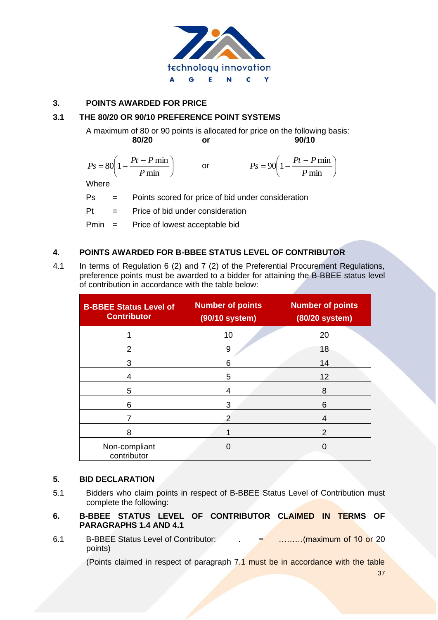

### **3. POINTS AWARDED FOR PRICE**

### **3.1 THE 80/20 OR 90/10 PREFERENCE POINT SYSTEMS**

A maximum of 80 or 90 points is allocated for price on the following basis: **80/20 or 90/10**

$$
Ps = 80\left(1 - \frac{Pt - P \min P}{ \min \right) \qquad \text{or} \qquad \qquad Ps = 90\left(1 - \frac{Pt - P \min P}{ \min P} \right)
$$

Where

Ps = Points scored for price of bid under consideration

Pt = Price of bid under consideration

Pmin = Price of lowest acceptable bid

### **4. POINTS AWARDED FOR B-BBEE STATUS LEVEL OF CONTRIBUTOR**

4.1 In terms of Regulation 6 (2) and 7 (2) of the Preferential Procurement Regulations, preference points must be awarded to a bidder for attaining the B-BBEE status level of contribution in accordance with the table below:

| <b>B-BBEE Status Level of</b><br><b>Contributor</b> | <b>Number of points</b><br>(90/10 system) | <b>Number of points</b><br>(80/20 system) |  |  |
|-----------------------------------------------------|-------------------------------------------|-------------------------------------------|--|--|
|                                                     | 10                                        | 20                                        |  |  |
| 2                                                   | 9                                         | 18                                        |  |  |
| 3                                                   | 6                                         | 14                                        |  |  |
| 4                                                   | 5                                         | 12                                        |  |  |
| 5                                                   | 4                                         | 8                                         |  |  |
| 6                                                   | 3                                         | 6                                         |  |  |
|                                                     | 2                                         | 4                                         |  |  |
| 8                                                   |                                           | $\mathcal{P}$                             |  |  |
| Non-compliant<br>contributor                        | 0                                         |                                           |  |  |

#### **5. BID DECLARATION**

- 5.1 Bidders who claim points in respect of B-BBEE Status Level of Contribution must complete the following:
- **6. B-BBEE STATUS LEVEL OF CONTRIBUTOR CLAIMED IN TERMS OF PARAGRAPHS 1.4 AND 4.1**
- 6.1 B-BBEE Status Level of Contributor:  $\overline{a}$  = ………(maximum of 10 or 20 points)

(Points claimed in respect of paragraph 7.1 must be in accordance with the table

37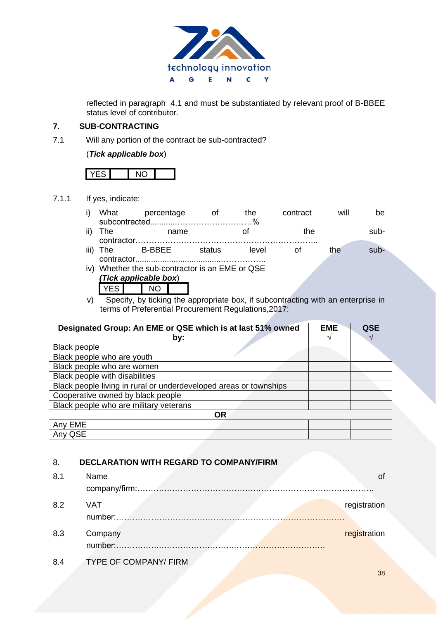

reflected in paragraph 4.1 and must be substantiated by relevant proof of B-BBEE status level of contributor.

### **7. SUB-CONTRACTING**

7.1 Will any portion of the contract be sub-contracted?

### (*Tick applicable box*)

### 7.1.1 If yes, indicate:

|      | What                                        |  | percentage |  | Οt     | the   | contract |  | will | be     |
|------|---------------------------------------------|--|------------|--|--------|-------|----------|--|------|--------|
|      | The<br>name                                 |  |            |  |        |       | the      |  | sub- |        |
|      | contractor.                                 |  |            |  |        |       |          |  |      |        |
| iii) | The                                         |  | B-BBEE     |  | status | level |          |  | the  | $sub-$ |
|      |                                             |  |            |  |        |       |          |  |      |        |
| iv)  | Whether the sub-contractor is an EME or QSE |  |            |  |        |       |          |  |      |        |
|      | (Tick applicable box)                       |  |            |  |        |       |          |  |      |        |
|      |                                             |  |            |  |        |       |          |  |      |        |

v) Specify, by ticking the appropriate box, if subcontracting with an enterprise in terms of Preferential Procurement Regulations,2017:

| Designated Group: An EME or QSE which is at last 51% owned        | <b>EME</b> | QSE |
|-------------------------------------------------------------------|------------|-----|
| by:                                                               |            |     |
| <b>Black people</b>                                               |            |     |
| Black people who are youth                                        |            |     |
| Black people who are women                                        |            |     |
| Black people with disabilities                                    |            |     |
| Black people living in rural or underdeveloped areas or townships |            |     |
| Cooperative owned by black people                                 |            |     |
| Black people who are military veterans                            |            |     |
| OR.                                                               |            |     |
| Any EME                                                           |            |     |
| Any QSE                                                           |            |     |

### 8. **DECLARATION WITH REGARD TO COMPANY/FIRM**

| 8.1 | Name                                                                                                          |              |
|-----|---------------------------------------------------------------------------------------------------------------|--------------|
| 8.2 | <b>VAT</b><br>the contract of the contract of the contract of the contract of the contract of the contract of | registration |
| 8.3 | Company                                                                                                       | registration |
| 8.4 | TYPE OF COMPANY/ FIRM                                                                                         |              |

38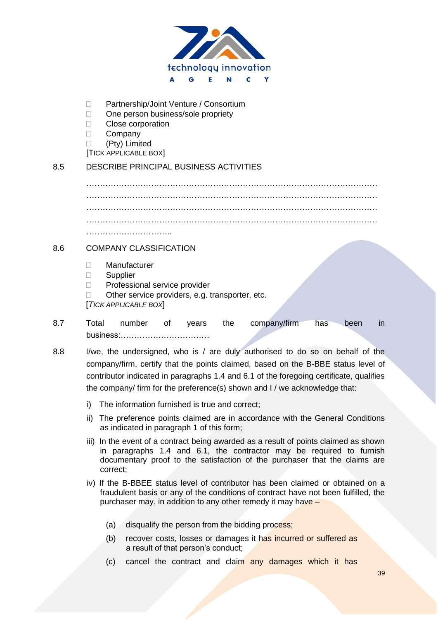

- □ Partnership/Joint Venture / Consortium
- □ One person business/sole propriety
- **Close corporation**
- D Company

(Pty) Limited

[TICK APPLICABLE BOX]

## 8.5 DESCRIBE PRINCIPAL BUSINESS ACTIVITIES

……………………………………………………………………………………………… ……………………………………………………………………………………………… ……………………………………………………………………………………………… ……………………………………………………………………………………………… …………………………..

### 8.6 COMPANY CLASSIFICATION

- Manufacturer
- Supplier
- D Professional service provider
- $\Box$  Other service providers, e.g. transporter, etc.

[*TICK APPLICABLE BOX*]

- 8.7 Total number of years the company/firm has been in business:……………………………
- 8.8 I/we, the undersigned, who is / are duly authorised to do so on behalf of the company/firm, certify that the points claimed, based on the B-BBE status level of contributor indicated in paragraphs 1.4 and 6.1 of the foregoing certificate, qualifies the company/ firm for the preference(s) shown and I / we acknowledge that:
	- i) The information furnished is true and correct;
	- ii) The preference points claimed are in accordance with the General Conditions as indicated in paragraph 1 of this form;
	- iii) In the event of a contract being awarded as a result of points claimed as shown in paragraphs 1.4 and 6.1, the contractor may be required to furnish documentary proof to the satisfaction of the purchaser that the claims are correct;
	- iv) If the B-BBEE status level of contributor has been claimed or obtained on a fraudulent basis or any of the conditions of contract have not been fulfilled, the purchaser may, in addition to any other remedy it may have –
		- (a) disqualify the person from the bidding process;
		- (b) recover costs, losses or damages it has incurred or suffered as a result of that person's conduct;
		- (c) cancel the contract and claim any damages which it has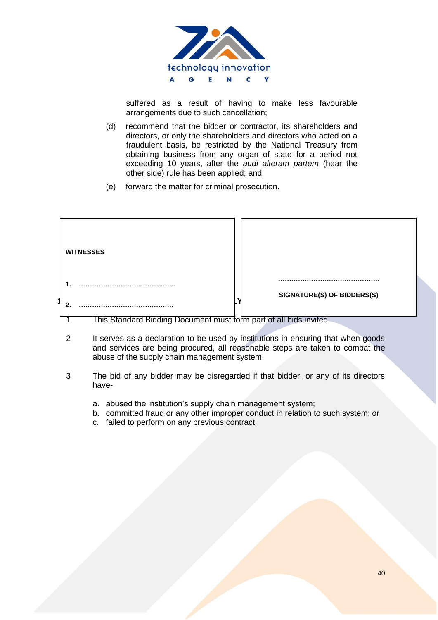

suffered as a result of having to make less favourable arrangements due to such cancellation;

- (d) recommend that the bidder or contractor, its shareholders and directors, or only the shareholders and directors who acted on a fraudulent basis, be restricted by the National Treasury from obtaining business from any organ of state for a period not exceeding 10 years, after the *audi alteram partem* (hear the other side) rule has been applied; and
- (e) forward the matter for criminal prosecution.

| <b>WITNESSES</b>                                                   |                            |
|--------------------------------------------------------------------|----------------------------|
|                                                                    | SIGNATURE(S) OF BIDDERS(S) |
| This Standard Bidding Document must form part of all bids invited. |                            |

**DATE: …………………………………..**

- 2 It serves as a declaration to be used by institutions in ensuring that when goods and services are being procured, all reasonable steps are taken to combat the annual terminal or the sumply obein abuse of the supply chain management system.
- 3 The bid of any bidder may be disregarded if that bidder, or any of its directors have
	- a. abused the institution's supply chain management system;
	- b. committed fraud or any other improper conduct in relation to such system; or
	- c. failed to perform on any previous contract.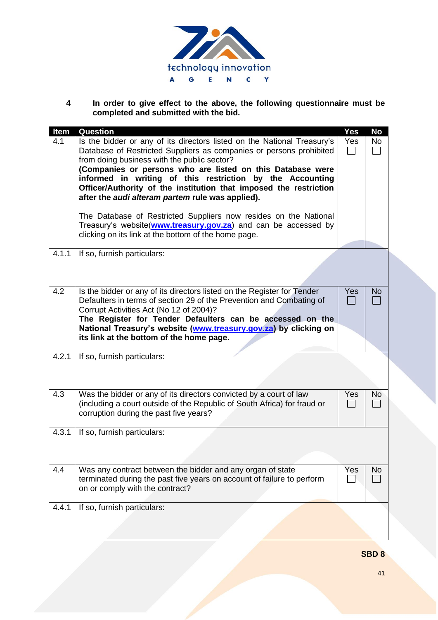

**4 In order to give effect to the above, the following questionnaire must be completed and submitted with the bid.**

| <b>Item</b> | <b>Question</b>                                                                                                                                                                                                                                                                                                                                                                                                                                                                                                                                                                                                                                 | <b>Yes</b> | <b>No</b> |
|-------------|-------------------------------------------------------------------------------------------------------------------------------------------------------------------------------------------------------------------------------------------------------------------------------------------------------------------------------------------------------------------------------------------------------------------------------------------------------------------------------------------------------------------------------------------------------------------------------------------------------------------------------------------------|------------|-----------|
| 4.1         | Is the bidder or any of its directors listed on the National Treasury's<br>Database of Restricted Suppliers as companies or persons prohibited<br>from doing business with the public sector?<br>(Companies or persons who are listed on this Database were<br>informed in writing of this restriction by the Accounting<br>Officer/Authority of the institution that imposed the restriction<br>after the audi alteram partem rule was applied).<br>The Database of Restricted Suppliers now resides on the National<br>Treasury's website(www.treasury.gov.za) and can be accessed by<br>clicking on its link at the bottom of the home page. | Yes        | No        |
| 4.1.1       | If so, furnish particulars:                                                                                                                                                                                                                                                                                                                                                                                                                                                                                                                                                                                                                     |            |           |
| 4.2         | Is the bidder or any of its directors listed on the Register for Tender<br>Defaulters in terms of section 29 of the Prevention and Combating of<br>Corrupt Activities Act (No 12 of 2004)?<br>The Register for Tender Defaulters can be accessed on the<br>National Treasury's website (www.treasury.gov.za) by clicking on<br>its link at the bottom of the home page.                                                                                                                                                                                                                                                                         | Yes        | No        |
| 4.2.1       | If so, furnish particulars:                                                                                                                                                                                                                                                                                                                                                                                                                                                                                                                                                                                                                     |            |           |
| 4.3         | Was the bidder or any of its directors convicted by a court of law<br>(including a court outside of the Republic of South Africa) for fraud or<br>corruption during the past five years?                                                                                                                                                                                                                                                                                                                                                                                                                                                        | Yes        | No        |
| 4.3.1       | If so, furnish particulars:                                                                                                                                                                                                                                                                                                                                                                                                                                                                                                                                                                                                                     |            |           |
| 4.4         | Was any contract between the bidder and any organ of state<br>terminated during the past five years on account of failure to perform<br>on or comply with the contract?                                                                                                                                                                                                                                                                                                                                                                                                                                                                         | Yes        | No        |
| 4.4.1       | If so, furnish particulars:                                                                                                                                                                                                                                                                                                                                                                                                                                                                                                                                                                                                                     |            |           |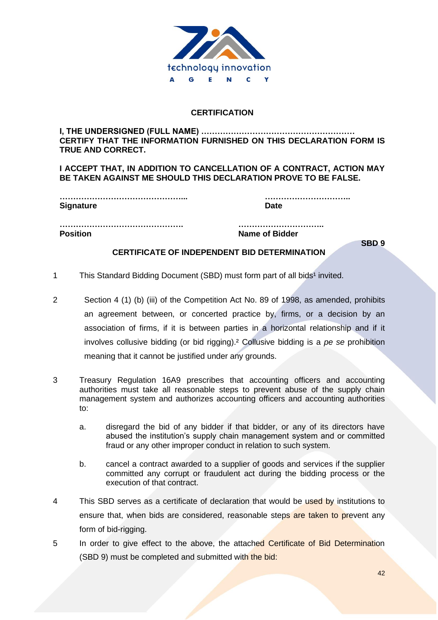

### **CERTIFICATION**

#### **I, THE UNDERSIGNED (FULL NAME) ………………………………………………… CERTIFY THAT THE INFORMATION FURNISHED ON THIS DECLARATION FORM IS TRUE AND CORRECT.**

**I ACCEPT THAT, IN ADDITION TO CANCELLATION OF A CONTRACT, ACTION MAY BE TAKEN AGAINST ME SHOULD THIS DECLARATION PROVE TO BE FALSE.**

| <b>Signature</b> |  |
|------------------|--|
|                  |  |

**………………………………………... …………………………..**

**………………………………………. ………………………….. Position Name of Bidder**

**SBD 9**

### **CERTIFICATE OF INDEPENDENT BID DETERMINATION**

- 1 This Standard Bidding Document (SBD) must form part of all bids<sup>1</sup> invited.
- 2 Section 4 (1) (b) (iii) of the Competition Act No. 89 of 1998, as amended, prohibits an agreement between, or concerted practice by, firms, or a decision by an association of firms, if it is between parties in a horizontal relationship and if it involves collusive bidding (or bid rigging).² Collusive bidding is a *pe se* prohibition meaning that it cannot be justified under any grounds.
- 3 Treasury Regulation 16A9 prescribes that accounting officers and accounting authorities must take all reasonable steps to prevent abuse of the supply chain management system and authorizes accounting officers and accounting authorities to:
	- a. disregard the bid of any bidder if that bidder, or any of its directors have abused the institution's supply chain management system and or committed fraud or any other improper conduct in relation to such system.
	- b. cancel a contract awarded to a supplier of goods and services if the supplier committed any corrupt or fraudulent act during the bidding process or the execution of that contract.
- 4 This SBD serves as a certificate of declaration that would be used by institutions to ensure that, when bids are considered, reasonable steps are taken to prevent any form of bid-rigging.
- 5 In order to give effect to the above, the attached Certificate of Bid Determination (SBD 9) must be completed and submitted with the bid: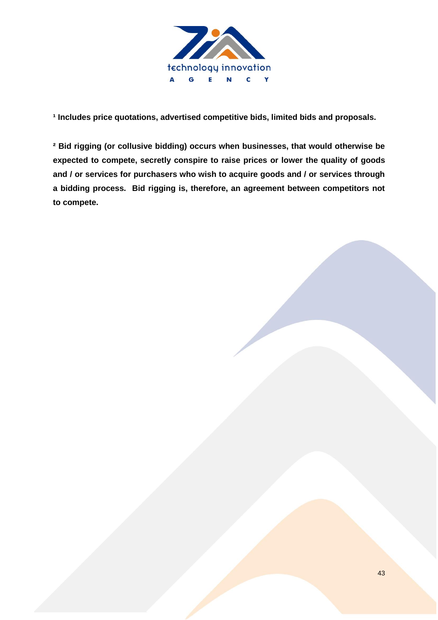

<sup>1</sup> Includes price quotations, advertised competitive bids, limited bids and proposals.

**² Bid rigging (or collusive bidding) occurs when businesses, that would otherwise be expected to compete, secretly conspire to raise prices or lower the quality of goods and / or services for purchasers who wish to acquire goods and / or services through a bidding process. Bid rigging is, therefore, an agreement between competitors not to compete.**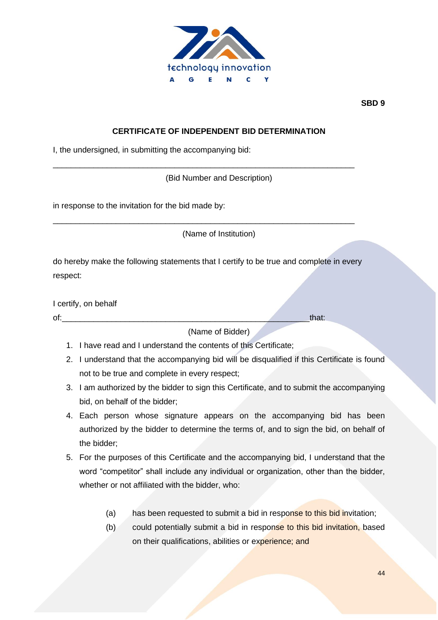

**SBD 9**

### **CERTIFICATE OF INDEPENDENT BID DETERMINATION**

I, the undersigned, in submitting the accompanying bid:

(Bid Number and Description)

\_\_\_\_\_\_\_\_\_\_\_\_\_\_\_\_\_\_\_\_\_\_\_\_\_\_\_\_\_\_\_\_\_\_\_\_\_\_\_\_\_\_\_\_\_\_\_\_\_\_\_\_\_\_\_\_\_\_\_\_\_\_\_\_\_\_\_

\_\_\_\_\_\_\_\_\_\_\_\_\_\_\_\_\_\_\_\_\_\_\_\_\_\_\_\_\_\_\_\_\_\_\_\_\_\_\_\_\_\_\_\_\_\_\_\_\_\_\_\_\_\_\_\_\_\_\_\_\_\_\_\_\_\_\_

in response to the invitation for the bid made by:

(Name of Institution)

do hereby make the following statements that I certify to be true and complete in every respect:

I certify, on behalf

of: that:

(Name of Bidder)

- 1. I have read and I understand the contents of this Certificate;
- 2. I understand that the accompanying bid will be disqualified if this Certificate is found not to be true and complete in every respect;
- 3. I am authorized by the bidder to sign this Certificate, and to submit the accompanying bid, on behalf of the bidder;
- 4. Each person whose signature appears on the accompanying bid has been authorized by the bidder to determine the terms of, and to sign the bid, on behalf of the bidder;
- 5. For the purposes of this Certificate and the accompanying bid, I understand that the word "competitor" shall include any individual or organization, other than the bidder, whether or not affiliated with the bidder, who:
	- (a) has been requested to submit a bid in response to this bid invitation;
	- (b) could potentially submit a bid in response to this bid invitation, based on their qualifications, abilities or experience; and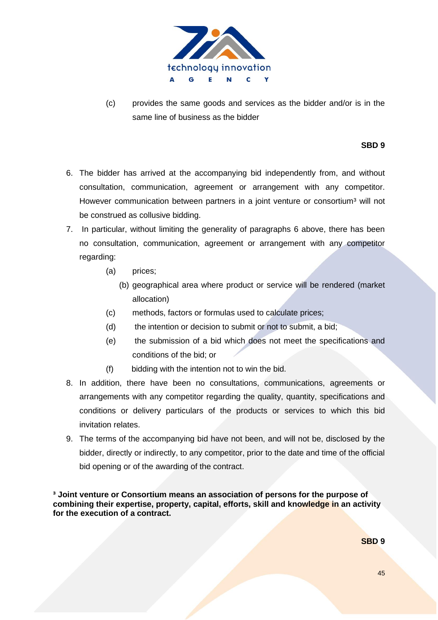

(c) provides the same goods and services as the bidder and/or is in the same line of business as the bidder

#### **SBD 9**

- 6. The bidder has arrived at the accompanying bid independently from, and without consultation, communication, agreement or arrangement with any competitor. However communication between partners in a joint venture or consortium<sup>3</sup> will not be construed as collusive bidding.
- 7. In particular, without limiting the generality of paragraphs 6 above, there has been no consultation, communication, agreement or arrangement with any competitor regarding:
	- (a) prices;
		- (b) geographical area where product or service will be rendered (market allocation)
	- (c) methods, factors or formulas used to calculate prices;
	- (d) the intention or decision to submit or not to submit, a bid;
	- (e) the submission of a bid which does not meet the specifications and conditions of the bid; or
	- (f) bidding with the intention not to win the bid.
- 8. In addition, there have been no consultations, communications, agreements or arrangements with any competitor regarding the quality, quantity, specifications and conditions or delivery particulars of the products or services to which this bid invitation relates.
- 9. The terms of the accompanying bid have not been, and will not be, disclosed by the bidder, directly or indirectly, to any competitor, prior to the date and time of the official bid opening or of the awarding of the contract.

**³ Joint venture or Consortium means an association of persons for the purpose of combining their expertise, property, capital, efforts, skill and knowledge in an activity for the execution of a contract.**

**SBD 9**